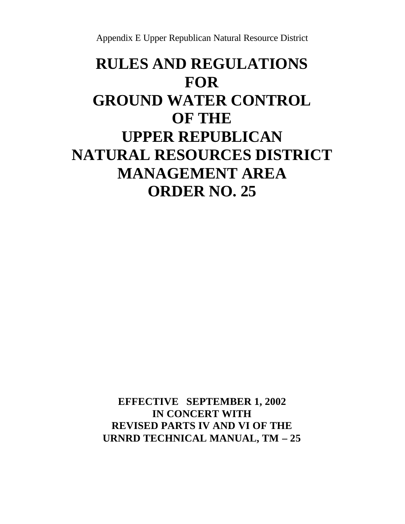Appendix E Upper Republican Natural Resource District

# **RULES AND REGULATIONS FOR GROUND WATER CONTROL OF THE UPPER REPUBLICAN NATURAL RESOURCES DISTRICT MANAGEMENT AREA ORDER NO. 25**

**EFFECTIVE SEPTEMBER 1, 2002 IN CONCERT WITH REVISED PARTS IV AND VI OF THE URNRD TECHNICAL MANUAL, TM – 25**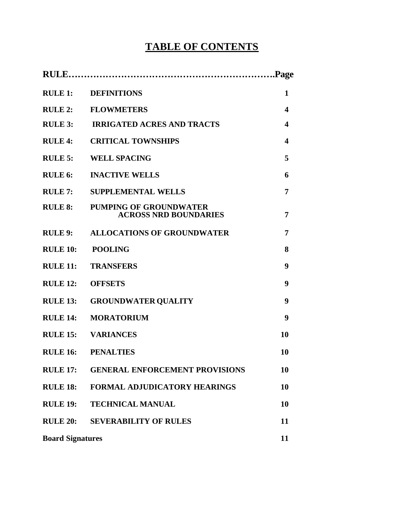## **TABLE OF CONTENTS**

| RULE 1:                 | <b>DEFINITIONS</b>                                            | 1  |
|-------------------------|---------------------------------------------------------------|----|
| <b>RULE 2:</b>          | <b>FLOWMETERS</b>                                             | 4  |
|                         | <b>RULE 3: IRRIGATED ACRES AND TRACTS</b>                     | 4  |
| <b>RULE 4:</b>          | <b>CRITICAL TOWNSHIPS</b>                                     | 4  |
| <b>RULE 5:</b>          | <b>WELL SPACING</b>                                           | 5  |
| <b>RULE 6:</b>          | <b>INACTIVE WELLS</b>                                         | 6  |
| <b>RULE 7:</b>          | <b>SUPPLEMENTAL WELLS</b>                                     | 7  |
| <b>RULE 8:</b>          | <b>PUMPING OF GROUNDWATER</b><br><b>ACROSS NRD BOUNDARIES</b> | 7  |
|                         | <b>RULE 9: ALLOCATIONS OF GROUNDWATER</b>                     | 7  |
| <b>RULE 10:</b>         | <b>POOLING</b>                                                | 8  |
| <b>RULE 11:</b>         | <b>TRANSFERS</b>                                              | 9  |
| <b>RULE 12:</b>         | <b>OFFSETS</b>                                                | 9  |
| <b>RULE 13:</b>         | <b>GROUNDWATER QUALITY</b>                                    | 9  |
| <b>RULE 14:</b>         | <b>MORATORIUM</b>                                             | 9  |
| <b>RULE 15:</b>         | <b>VARIANCES</b>                                              | 10 |
|                         | <b>RULE 16: PENALTIES</b>                                     | 10 |
| <b>RULE 17:</b>         | <b>GENERAL ENFORCEMENT PROVISIONS</b>                         | 10 |
| <b>RULE 18:</b>         | FORMAL ADJUDICATORY HEARINGS                                  | 10 |
| <b>RULE 19:</b>         | <b>TECHNICAL MANUAL</b>                                       | 10 |
| <b>RULE 20:</b>         | <b>SEVERABILITY OF RULES</b>                                  | 11 |
| <b>Board Signatures</b> |                                                               | 11 |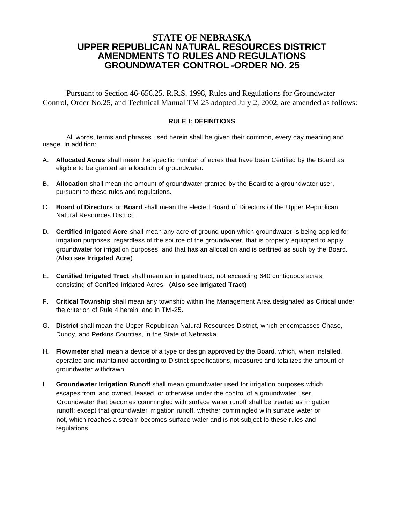## **STATE OF NEBRASKA UPPER REPUBLICAN NATURAL RESOURCES DISTRICT AMENDMENTS TO RULES AND REGULATIONS GROUNDWATER CONTROL -ORDER NO. 25**

Pursuant to Section 46-656.25, R.R.S. 1998, Rules and Regulations for Groundwater Control, Order No.25, and Technical Manual TM 25 adopted July 2, 2002, are amended as follows:

#### **RULE I: DEFINITIONS**

All words, terms and phrases used herein shall be given their common, every day meaning and usage. In addition:

- A. **Allocated Acres** shall mean the specific number of acres that have been Certified by the Board as eligible to be granted an allocation of groundwater.
- B. **Allocation** shall mean the amount of groundwater granted by the Board to a groundwater user, pursuant to these rules and regulations.
- C. **Board of Directors** or **Board** shall mean the elected Board of Directors of the Upper Republican Natural Resources District.
- D. **Certified Irrigated Acre** shall mean any acre of ground upon which groundwater is being applied for irrigation purposes, regardless of the source of the groundwater, that is properly equipped to apply groundwater for irrigation purposes, and that has an allocation and is certified as such by the Board. (**Also see Irrigated Acre**)
- E. **Certified Irrigated Tract** shall mean an irrigated tract, not exceeding 640 contiguous acres, consisting of Certified Irrigated Acres. **(Also see Irrigated Tract)**
- F. **Critical Township** shall mean any township within the Management Area designated as Critical under the criterion of Rule 4 herein, and in TM -25.
- G. **District** shall mean the Upper Republican Natural Resources District, which encompasses Chase, Dundy, and Perkins Counties, in the State of Nebraska.
- H. **Flowmeter** shall mean a device of a type or design approved by the Board, which, when installed, operated and maintained according to District specifications, measures and totalizes the amount of groundwater withdrawn.
- I. **Groundwater Irrigation Runoff** shall mean groundwater used for irrigation purposes which escapes from land owned, leased, or otherwise under the control of a groundwater user. Groundwater that becomes commingled with surface water runoff shall be treated as irrigation runoff; except that groundwater irrigation runoff, whether commingled with surface water or not, which reaches a stream becomes surface water and is not subject to these rules and regulations.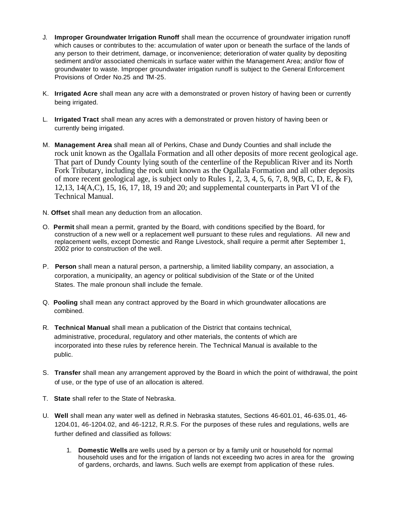- J. **Improper Groundwater Irrigation Runoff** shall mean the occurrence of groundwater irrigation runoff which causes or contributes to the: accumulation of water upon or beneath the surface of the lands of any person to their detriment, damage, or inconvenience; deterioration of water quality by depositing sediment and/or associated chemicals in surface water within the Management Area; and/or flow of groundwater to waste. Improper groundwater irrigation runoff is subject to the General Enforcement Provisions of Order No.25 and TM-25.
- K. **Irrigated Acre** shall mean any acre with a demonstrated or proven history of having been or currently being irrigated.
- L. **Irrigated Tract** shall mean any acres with a demonstrated or proven history of having been or currently being irrigated.
- M. **Management Area** shall mean all of Perkins, Chase and Dundy Counties and shall include the rock unit known as the Ogallala Formation and all other deposits of more recent geological age. That part of Dundy County lying south of the centerline of the Republican River and its North Fork Tributary, including the rock unit known as the Ogallala Formation and all other deposits of more recent geological age, is subject only to Rules 1, 2, 3, 4, 5, 6, 7, 8, 9(B, C, D, E, & F), 12,13, 14(A,C), 15, 16, 17, 18, 19 and 20; and supplemental counterparts in Part VI of the Technical Manual.
- N. **Offset** shall mean any deduction from an allocation.
- O. **Permit** shall mean a permit, granted by the Board, with conditions specified by the Board, for construction of a new well or a replacement well pursuant to these rules and regulations. All new and replacement wells, except Domestic and Range Livestock, shall require a permit after September 1, 2002 prior to construction of the well.
- P. **Person** shall mean a natural person, a partnership, a limited liability company, an association, a corporation, a municipality, an agency or political subdivision of the State or of the United States. The male pronoun shall include the female.
- Q. **Pooling** shall mean any contract approved by the Board in which groundwater allocations are combined.
- R. **Technical Manual** shall mean a publication of the District that contains technical, administrative, procedural, regulatory and other materials, the contents of which are incorporated into these rules by reference herein. The Technical Manual is available to the public.
- S. **Transfer** shall mean any arrangement approved by the Board in which the point of withdrawal, the point of use, or the type of use of an allocation is altered.
- T. **State** shall refer to the State of Nebraska.
- U. **Well** shall mean any water well as defined in Nebraska statutes, Sections 46-601.01, 46-635.01, 46- 1204.01, 46-1204.02, and 46-1212, R.R.S. For the purposes of these rules and regulations, wells are further defined and classified as follows:
	- 1. **Domestic Wells** are wells used by a person or by a family unit or household for normal household uses and for the irrigation of lands not exceeding two acres in area for the growing of gardens, orchards, and lawns. Such wells are exempt from application of these rules.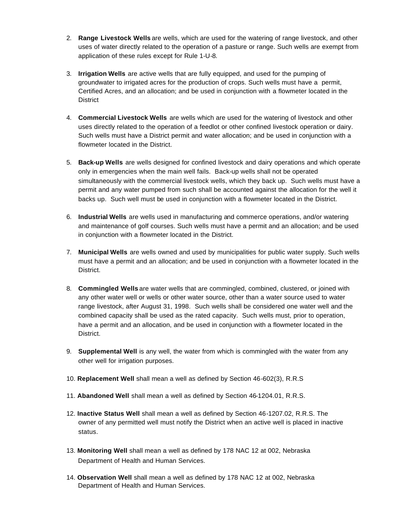- 2. **Range Livestock Wells** are wells, which are used for the watering of range livestock, and other uses of water directly related to the operation of a pasture or range. Such wells are exempt from application of these rules except for Rule 1-U-8.
- 3. **Irrigation Wells** are active wells that are fully equipped, and used for the pumping of groundwater to irrigated acres for the production of crops. Such wells must have a permit, Certified Acres, and an allocation; and be used in conjunction with a flowmeter located in the **District**
- 4. **Commercial Livestock Wells** are wells which are used for the watering of livestock and other uses directly related to the operation of a feedlot or other confined livestock operation or dairy. Such wells must have a District permit and water allocation; and be used in conjunction with a flowmeter located in the District.
- 5. **Back-up Wells** are wells designed for confined livestock and dairy operations and which operate only in emergencies when the main well fails. Back-up wells shall not be operated simultaneously with the commercial livestock wells, which they back up. Such wells must have a permit and any water pumped from such shall be accounted against the allocation for the well it backs up. Such well must be used in conjunction with a flowmeter located in the District.
- 6. **Industrial Wells** are wells used in manufacturing and commerce operations, and/or watering and maintenance of golf courses. Such wells must have a permit and an allocation; and be used in conjunction with a flowmeter located in the District.
- 7. **Municipal Wells** are wells owned and used by municipalities for public water supply. Such wells must have a permit and an allocation; and be used in conjunction with a flowmeter located in the District.
- 8. **Commingled Wells** are water wells that are commingled, combined, clustered, or joined with any other water well or wells or other water source, other than a water source used to water range livestock, after August 31, 1998. Such wells shall be considered one water well and the combined capacity shall be used as the rated capacity. Such wells must, prior to operation, have a permit and an allocation, and be used in conjunction with a flowmeter located in the District.
- 9. **Supplemental Well** is any well, the water from which is commingled with the water from any other well for irrigation purposes.
- 10. **Replacement Well** shall mean a well as defined by Section 46-602(3), R.R.S
- 11. **Abandoned Well** shall mean a well as defined by Section 46-1204.01, R.R.S.
- 12. **Inactive Status Well** shall mean a well as defined by Section 46-1207.02, R.R.S. The owner of any permitted well must notify the District when an active well is placed in inactive status.
- 13. **Monitoring Well** shall mean a well as defined by 178 NAC 12 at 002, Nebraska Department of Health and Human Services.
- 14. **Observation Well** shall mean a well as defined by 178 NAC 12 at 002, Nebraska Department of Health and Human Services.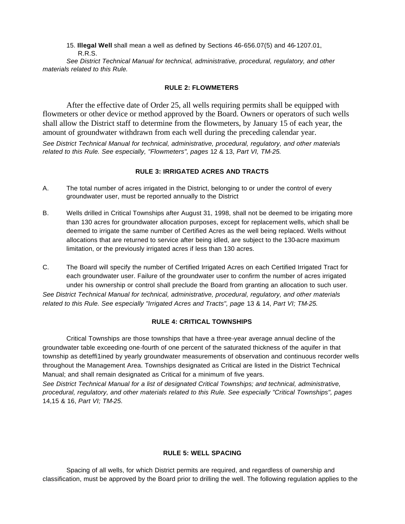15. **Illegal Well** shall mean a well as defined by Sections 46-656.07(5) and 46-1207.01, R.R.S.

*See District Technical Manual for technical, administrative, procedural, regulatory, and other materials related to this Rule.* 

#### **RULE 2: FLOWMETERS**

After the effective date of Order 25, all wells requiring permits shall be equipped with flowmeters or other device or method approved by the Board. Owners or operators of such wells shall allow the District staff to determine from the flowmeters, by January 15 of each year, the amount of groundwater withdrawn from each well during the preceding calendar year.

*See District Technical Manual for technical, administrative, procedural, regulatory, and other materials related to this Rule. See especially, "Flowmeters", pages* 12 & 13, *Part VI, TM-25.* 

#### **RULE 3: IRRIGATED ACRES AND TRACTS**

- A. The total number of acres irrigated in the District, belonging to or under the control of every groundwater user, must be reported annually to the District
- B. Wells drilled in Critical Townships after August 31, 1998, shall not be deemed to be irrigating more than 130 acres for groundwater allocation purposes, except for replacement wells, which shall be deemed to irrigate the same number of Certified Acres as the well being replaced. Wells without allocations that are returned to service after being idled, are subject to the 130-acre maximum limitation, or the previously irrigated acres if less than 130 acres.
- C. The Board will specify the number of Certified Irrigated Acres on each Certified Irrigated Tract for each groundwater user. Failure of the groundwater user to confirm the number of acres irrigated under his ownership or control shall preclude the Board from granting an allocation to such user. *See District Technical Manual for technical, administrative, procedural, regulatory, and other materials related to this Rule. See especially "Irrigated Acres and Tracts", page* 13 & 14, *Part VI; TM-25.*

#### **RULE 4: CRITICAL TOWNSHIPS**

Critical Townships are those townships that have a three-year average annual decline of the groundwater table exceeding one-fourth of one percent of the saturated thickness of the aquifer in that township as deteffi1ined by yearly groundwater measurements of observation and continuous recorder wells throughout the Management Area. Townships designated as Critical are listed in the District Technical Manual; and shall remain designated as Critical for a minimum of five years.

*See District Technical Manual for a list of designated Critical Townships; and technical, administrative, procedural, regulatory, and other materials related to this Rule. See especially "Critical Townships", pages*  14,15 & 16, *Part VI; TM-25.* 

#### **RULE 5: WELL SPACING**

Spacing of all wells, for which District permits are required, and regardless of ownership and classification, must be approved by the Board prior to drilling the well. The following regulation applies to the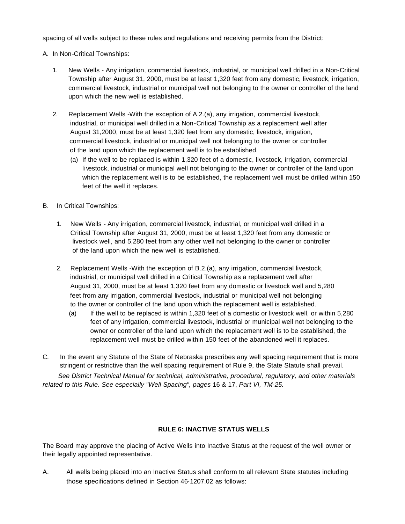spacing of all wells subject to these rules and regulations and receiving permits from the District:

- A. In Non-Critical Townships:
	- 1. New Wells Any irrigation, commercial livestock, industrial, or municipal well drilled in a Non-Critical Township after August 31, 2000, must be at least 1,320 feet from any domestic, livestock, irrigation, commercial livestock, industrial or municipal well not belonging to the owner or controller of the land upon which the new well is established.
	- 2. Replacement Wells -With the exception of A.2.(a), any irrigation, commercial livestock, industrial, or municipal well drilled in a Non-Critical Township as a replacement well after August 31,2000, must be at least 1,320 feet from any domestic, livestock, irrigation, commercial livestock, industrial or municipal well not belonging to the owner or controller of the land upon which the replacement well is to be established.
		- (a) If the well to be replaced is within 1,320 feet of a domestic, livestock, irrigation, commercial livestock, industrial or municipal well not belonging to the owner or controller of the land upon which the replacement well is to be established, the replacement well must be drilled within 150 feet of the well it replaces.
- B. In Critical Townships:
	- 1. New Wells Any irrigation, commercial livestock, industrial, or municipal well drilled in a Critical Township after August 31, 2000, must be at least 1,320 feet from any domestic or livestock well, and 5,280 feet from any other well not belonging to the owner or controller of the land upon which the new well is established.
	- 2. Replacement Wells -With the exception of B.2.(a), any irrigation, commercial livestock, industrial, or municipal well drilled in a Critical Township as a replacement well after August 31, 2000, must be at least 1,320 feet from any domestic or livestock well and 5,280 feet from any irrigation, commercial livestock, industrial or municipal well not belonging to the owner or controller of the land upon which the replacement well is established.
		- (a) If the well to be replaced is within 1,320 feet of a domestic or livestock well, or within 5,280 feet of any irrigation, commercial livestock, industrial or municipal well not belonging to the owner or controller of the land upon which the replacement well is to be established, the replacement well must be drilled within 150 feet of the abandoned well it replaces.
- C. In the event any Statute of the State of Nebraska prescribes any well spacing requirement that is more stringent or restrictive than the well spacing requirement of Rule 9, the State Statute shall prevail.

 *See District Technical Manual for technical, administrative, procedural, regulatory, and other materials related to this Rule. See especially "Well Spacing", pages* 16 & 17, *Part VI, TM-25.* 

#### **RULE 6: INACTIVE STATUS WELLS**

The Board may approve the placing of Active Wells into Inactive Status at the request of the well owner or their legally appointed representative.

A. All wells being placed into an Inactive Status shall conform to all relevant State statutes including those specifications defined in Section 46-1207.02 as follows: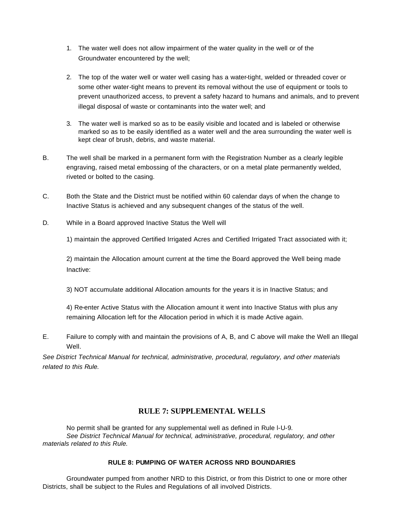- 1. The water well does not allow impairment of the water quality in the well or of the Groundwater encountered by the well;
- 2. The top of the water well or water well casing has a water-tight, welded or threaded cover or some other water-tight means to prevent its removal without the use of equipment or tools to prevent unauthorized access, to prevent a safety hazard to humans and animals, and to prevent illegal disposal of waste or contaminants into the water well; and
- 3. The water well is marked so as to be easily visible and located and is labeled or otherwise marked so as to be easily identified as a water well and the area surrounding the water well is kept clear of brush, debris, and waste material.
- B. The well shall be marked in a permanent form with the Registration Number as a clearly legible engraving, raised metal embossing of the characters, or on a metal plate permanently welded, riveted or bolted to the casing.
- C. Both the State and the District must be notified within 60 calendar days of when the change to Inactive Status is achieved and any subsequent changes of the status of the well.
- D. While in a Board approved Inactive Status the Well will

1) maintain the approved Certified Irrigated Acres and Certified Irrigated Tract associated with it;

2) maintain the Allocation amount current at the time the Board approved the Well being made Inactive:

3) NOT accumulate additional Allocation amounts for the years it is in Inactive Status; and

4) Re-enter Active Status with the Allocation amount it went into Inactive Status with plus any remaining Allocation left for the Allocation period in which it is made Active again.

E. Failure to comply with and maintain the provisions of A, B, and C above will make the Well an Illegal Well.

*See District Technical Manual for technical, administrative, procedural, regulatory, and other materials related to this Rule.* 

## **RULE 7: SUPPLEMENTAL WELLS**

No permit shall be granted for any supplemental well as defined in Rule l-U-9. *See District Technical Manual for technical, administrative, procedural, regulatory, and other materials related to this Rule.* 

#### **RULE 8: PUMPING OF WATER ACROSS NRD BOUNDARIES**

Groundwater pumped from another NRD to this District, or from this District to one or more other Districts, shall be subject to the Rules and Regulations of all involved Districts.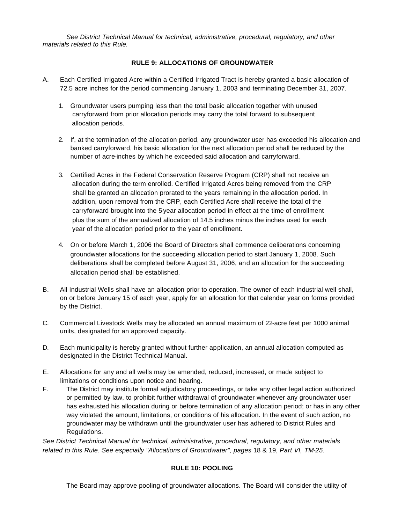*See District Technical Manual for technical, administrative, procedural, regulatory, and other materials related to this Rule.* 

#### **RULE 9: ALLOCATIONS OF GROUNDWATER**

- A. Each Certified Irrigated Acre within a Certified Irrigated Tract is hereby granted a basic allocation of 72.5 acre inches for the period commencing January 1, 2003 and terminating December 31, 2007.
	- 1. Groundwater users pumping less than the total basic allocation together with unused carryforward from prior allocation periods may carry the total forward to subsequent allocation periods.
	- 2. If, at the termination of the allocation period, any groundwater user has exceeded his allocation and banked carryforward, his basic allocation for the next allocation period shall be reduced by the number of acre-inches by which he exceeded said allocation and carryforward.
	- 3. Certified Acres in the Federal Conservation Reserve Program (CRP) shall not receive an allocation during the term enrolled. Certified Irrigated Acres being removed from the CRP shall be granted an allocation prorated to the years remaining in the allocation period. In addition, upon removal from the CRP, each Certified Acre shall receive the total of the carryforward brought into the 5-year allocation period in effect at the time of enrollment plus the sum of the annualized allocation of 14.5 inches minus the inches used for each year of the allocation period prior to the year of enrollment.
	- 4. On or before March 1, 2006 the Board of Directors shall commence deliberations concerning groundwater allocations for the succeeding allocation period to start January 1, 2008. Such deliberations shall be completed before August 31, 2006, and an allocation for the succeeding allocation period shall be established.
- B. All Industrial Wells shall have an allocation prior to operation. The owner of each industrial well shall, on or before January 15 of each year, apply for an allocation for that calendar year on forms provided by the District.
- C. Commercial Livestock Wells may be allocated an annual maximum of 22-acre feet per 1000 animal units, designated for an approved capacity.
- D. Each municipality is hereby granted without further application, an annual allocation computed as designated in the District Technical Manual.
- E. Allocations for any and all wells may be amended, reduced, increased, or made subject to limitations or conditions upon notice and hearing.
- F. The District may institute formal adjudicatory proceedings, or take any other legal action authorized or permitted by law, to prohibit further withdrawal of groundwater whenever any groundwater user has exhausted his allocation during or before termination of any allocation period; or has in any other way violated the amount, limitations, or conditions of his allocation. In the event of such action, no groundwater may be withdrawn until the groundwater user has adhered to District Rules and Regulations.

*See District Technical Manual for technical, administrative, procedural, regulatory, and other materials related to this Rule. See especially "Allocations of Groundwater", pages* 18 & 19, *Part VI, TM-25.* 

#### **RULE 10: POOLING**

The Board may approve pooling of groundwater allocations. The Board will consider the utility of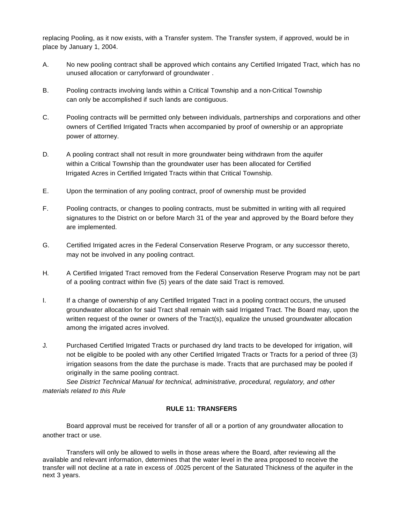replacing Pooling, as it now exists, with a Transfer system. The Transfer system, if approved, would be in place by January 1, 2004.

- A. No new pooling contract shall be approved which contains any Certified Irrigated Tract, which has no unused allocation or carryforward of groundwater .
- B. Pooling contracts involving lands within a Critical Township and a non-Critical Township can only be accomplished if such lands are contiguous.
- C. Pooling contracts will be permitted only between individuals, partnerships and corporations and other owners of Certified Irrigated Tracts when accompanied by proof of ownership or an appropriate power of attorney.
- D. A pooling contract shall not result in more groundwater being withdrawn from the aquifer within a Critical Township than the groundwater user has been allocated for Certified Irrigated Acres in Certified Irrigated Tracts within that Critical Township.
- E. Upon the termination of any pooling contract, proof of ownership must be provided
- F. Pooling contracts, or changes to pooling contracts, must be submitted in writing with all required signatures to the District on or before March 31 of the year and approved by the Board before they are implemented.
- G. Certified Irrigated acres in the Federal Conservation Reserve Program, or any successor thereto, may not be involved in any pooling contract.
- H. A Certified Irrigated Tract removed from the Federal Conservation Reserve Program may not be part of a pooling contract within five (5) years of the date said Tract is removed.
- I. If a change of ownership of any Certified Irrigated Tract in a pooling contract occurs, the unused groundwater allocation for said Tract shall remain with said Irrigated Tract. The Board may, upon the written request of the owner or owners of the Tract(s), equalize the unused groundwater allocation among the irrigated acres involved.
- J. Purchased Certified Irrigated Tracts or purchased dry land tracts to be developed for irrigation, will not be eligible to be pooled with any other Certified Irrigated Tracts or Tracts for a period of three (3) irrigation seasons from the date the purchase is made. Tracts that are purchased may be pooled if originally in the same pooling contract.

*See District Technical Manual for technical, administrative, procedural, regulatory, and other materials related to this Rule* 

#### **RULE 11: TRANSFERS**

Board approval must be received for transfer of all or a portion of any groundwater allocation to another tract or use.

Transfers will only be allowed to wells in those areas where the Board, after reviewing all the available and relevant information, determines that the water level in the area proposed to receive the transfer will not decline at a rate in excess of .0025 percent of the Saturated Thickness of the aquifer in the next 3 years.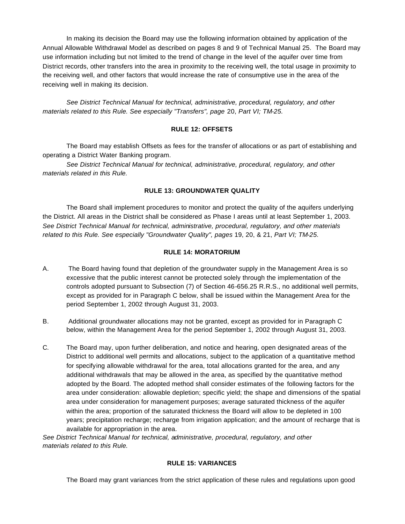In making its decision the Board may use the following information obtained by application of the Annual Allowable Withdrawal Model as described on pages 8 and 9 of Technical Manual 25. The Board may use information including but not limited to the trend of change in the level of the aquifer over time from District records, other transfers into the area in proximity to the receiving well, the total usage in proximity to the receiving well, and other factors that would increase the rate of consumptive use in the area of the receiving well in making its decision.

*See District Technical Manual for technical, administrative, procedural, regulatory, and other materials related to this Rule. See especially "Transfers", page* 20, *Part VI; TM-25.* 

#### **RULE 12: OFFSETS**

The Board may establish Offsets as fees for the transfer of allocations or as part of establishing and operating a District Water Banking program.

*See District Technical Manual for technical, administrative, procedural, regulatory, and other materials related in this Rule.* 

#### **RULE 13: GROUNDWATER QUALITY**

The Board shall implement procedures to monitor and protect the quality of the aquifers underlying the District. All areas in the District shall be considered as Phase I areas until at least September 1, 2003. *See District Technical Manual for technical, administrative, procedural, regulatory, and other materials related to this Rule. See especially "Groundwater Quality", pages* 19, 20, & 21, *Part VI; TM-25.* 

#### **RULE 14: MORATORIUM**

- A. The Board having found that depletion of the groundwater supply in the Management Area is so excessive that the public interest cannot be protected solely through the implementation of the controls adopted pursuant to Subsection (7) of Section 46-656.25 R.R.S., no additional well permits, except as provided for in Paragraph C below, shall be issued within the Management Area for the period September 1, 2002 through August 31, 2003.
- B. Additional groundwater allocations may not be granted, except as provided for in Paragraph C below, within the Management Area for the period September 1, 2002 through August 31, 2003.
- C. The Board may, upon further deliberation, and notice and hearing, open designated areas of the District to additional well permits and allocations, subject to the application of a quantitative method for specifying allowable withdrawal for the area, total allocations granted for the area, and any additional withdrawals that may be allowed in the area, as specified by the quantitative method adopted by the Board. The adopted method shall consider estimates of the following factors for the area under consideration: allowable depletion; specific yield; the shape and dimensions of the spatial area under consideration for management purposes; average saturated thickness of the aquifer within the area; proportion of the saturated thickness the Board will allow to be depleted in 100 years; precipitation recharge; recharge from irrigation application; and the amount of recharge that is available for appropriation in the area.

*See District Technical Manual for technical, administrative, procedural, regulatory, and other materials related to this Rule.* 

#### **RULE 15: VARIANCES**

The Board may grant variances from the strict application of these rules and regulations upon good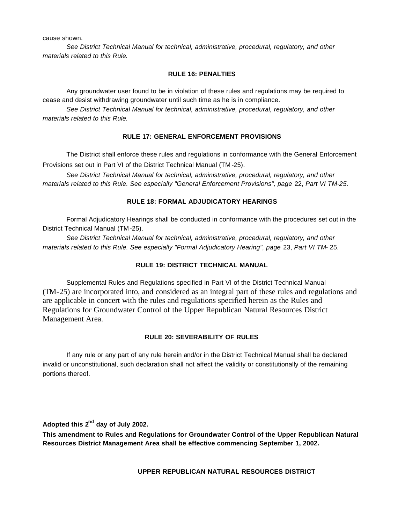cause shown.

*See District Technical Manual for technical, administrative, procedural, regulatory, and other materials related to this Rule.* 

#### **RULE 16: PENALTIES**

Any groundwater user found to be in violation of these rules and regulations may be required to cease and desist withdrawing groundwater until such time as he is in compliance.

*See District Technical Manual for technical, administrative, procedural, regulatory, and other materials related to this Rule.* 

#### **RULE 17: GENERAL ENFORCEMENT PROVISIONS**

The District shall enforce these rules and regulations in conformance with the General Enforcement Provisions set out in Part VI of the District Technical Manual (TM -25).

*See District Technical Manual for technical, administrative, procedural, regulatory, and other materials related to this Rule. See especially "General Enforcement Provisions", page* 22, *Part VI TM-25.* 

#### **RULE 18: FORMAL ADJUDICATORY HEARINGS**

Formal Adjudicatory Hearings shall be conducted in conformance with the procedures set out in the District Technical Manual (TM -25).

*See District Technical Manual for technical, administrative, procedural, regulatory, and other materials related to this Rule. See especially "Formal Adjudicatory Hearing", page* 23, *Part VI TM-* 25.

#### **RULE 19: DISTRICT TECHNICAL MANUAL**

Supplemental Rules and Regulations specified in Part VI of the District Technical Manual (TM-25) are incorporated into, and considered as an integral part of these rules and regulations and are applicable in concert with the rules and regulations specified herein as the Rules and Regulations for Groundwater Control of the Upper Republican Natural Resources District Management Area.

#### **RULE 20: SEVERABILITY OF RULES**

If any rule or any part of any rule herein and/or in the District Technical Manual shall be declared invalid or unconstitutional, such declaration shall not affect the validity or constitutionally of the remaining portions thereof.

**Adopted this 2nd day of July 2002.** 

**This amendment to Rules and Regulations for Groundwater Control of the Upper Republican Natural Resources District Management Area shall be effective commencing September 1, 2002.** 

 **UPPER REPUBLICAN NATURAL RESOURCES DISTRICT**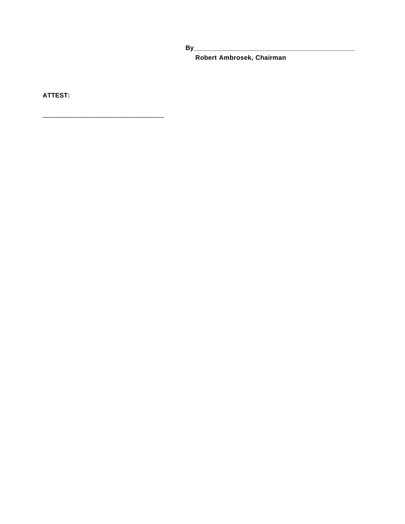Robert Ambrosek, Chairman

**ATTEST:**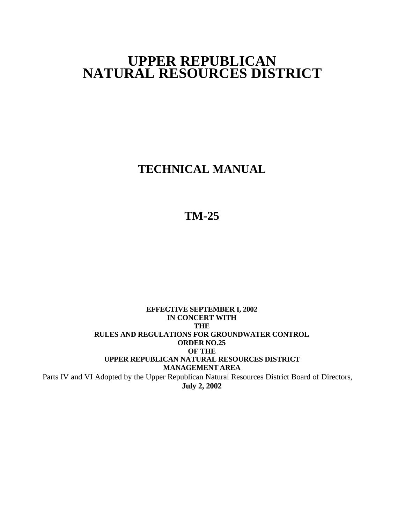## **UPPER REPUBLICAN NATURAL RESOURCES DISTRICT**

**TECHNICAL MANUAL**

## **TM-25**

## **EFFECTIVE SEPTEMBER I, 2002 IN CONCERT WITH THE RULES AND REGULATIONS FOR GROUNDWATER CONTROL ORDER NO.25 OF THE UPPER REPUBLICAN NATURAL RESOURCES DISTRICT MANAGEMENT AREA** Parts IV and VI Adopted by the Upper Republican Natural Resources District Board of Directors, **July 2, 2002**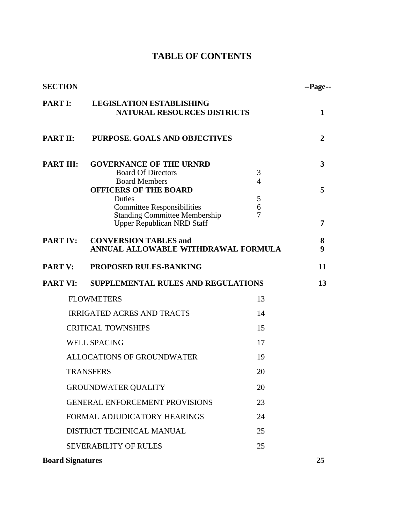## **TABLE OF CONTENTS**

| <b>SECTION</b>   |                                                                                                                                                                    |                               | --Page--       |
|------------------|--------------------------------------------------------------------------------------------------------------------------------------------------------------------|-------------------------------|----------------|
| <b>PART I:</b>   | <b>LEGISLATION ESTABLISHING</b><br><b>NATURAL RESOURCES DISTRICTS</b>                                                                                              |                               | $\mathbf{1}$   |
| <b>PART II:</b>  | <b>PURPOSE. GOALS AND OBJECTIVES</b>                                                                                                                               |                               | $\overline{2}$ |
| <b>PART III:</b> | <b>GOVERNANCE OF THE URNRD</b><br><b>Board Of Directors</b><br><b>Board Members</b><br><b>OFFICERS OF THE BOARD</b><br>Duties<br><b>Committee Responsibilities</b> | 3<br>$\overline{4}$<br>5<br>6 | 3<br>5         |
|                  | <b>Standing Committee Membership</b><br><b>Upper Republican NRD Staff</b>                                                                                          | 7                             | 7              |
| <b>PART IV:</b>  | <b>CONVERSION TABLES and</b><br>ANNUAL ALLOWABLE WITHDRAWAL FORMULA                                                                                                |                               | 8<br>9         |
| <b>PART V:</b>   | <b>PROPOSED RULES-BANKING</b>                                                                                                                                      |                               | 11             |
| <b>PART VI:</b>  | <b>SUPPLEMENTAL RULES AND REGULATIONS</b>                                                                                                                          |                               | 13             |
|                  | <b>FLOWMETERS</b>                                                                                                                                                  | 13                            |                |
|                  | <b>IRRIGATED ACRES AND TRACTS</b>                                                                                                                                  | 14                            |                |
|                  | <b>CRITICAL TOWNSHIPS</b>                                                                                                                                          | 15                            |                |
|                  | <b>WELL SPACING</b>                                                                                                                                                | 17                            |                |
|                  | <b>ALLOCATIONS OF GROUNDWATER</b>                                                                                                                                  | 19                            |                |
|                  | <b>TRANSFERS</b>                                                                                                                                                   | 20                            |                |
|                  | <b>GROUNDWATER QUALITY</b>                                                                                                                                         | 20                            |                |
|                  | <b>GENERAL ENFORCEMENT PROVISIONS</b>                                                                                                                              | 23                            |                |
|                  | FORMAL ADJUDICATORY HEARINGS                                                                                                                                       | 24                            |                |
|                  | DISTRICT TECHNICAL MANUAL                                                                                                                                          | 25                            |                |
|                  | <b>SEVERABILITY OF RULES</b>                                                                                                                                       | 25                            |                |
|                  |                                                                                                                                                                    |                               |                |

**Board Signatures** 25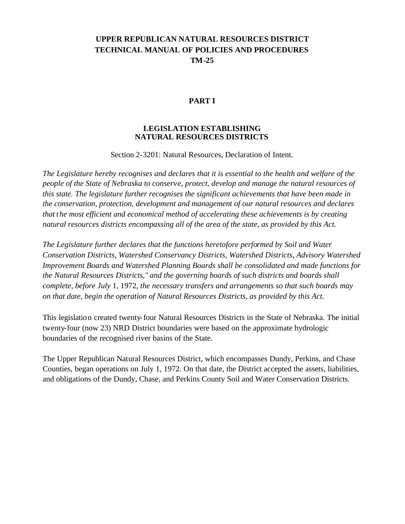## **UPPER REPUBLICAN NATURAL RESOURCES DISTRICT TECHNICAL MANUAL OF POLICIES AND PROCEDURES TM-25**

## **PART I**

### **LEGISLATION ESTABLISHING NATURAL RESOURCES DISTRICTS**

Section 2-3201: Natural Resources, Declaration of Intent.

*The Legislature hereby recognises and declares that it is essential to the health and welfare of the people of the State of Nebraska to conserve, protect, develop and manage the natural resources of this state. The legislature further recognises the significant achievements that have been made in the conservation, protection, development and management of our natural resources and declares that the most efficient and economical method of accelerating these achievements is by creating natural resources districts encompassing all of the area of the state, as provided by this Act.* 

*The Legislature further declares that the functions heretofore performed by Soil and Water Conservation Districts, Watershed Conservancy Districts, Watershed Districts, Advisory Watershed Improvement Boards and Watershed Planning Boards shall be consolidated and made functions for the Natural Resources Districts,*" *and the governing boards of such districts and boards shall complete, before July* 1, 1972, *the necessary transfers and arrangements so that such boards may on that date, begin the operation of Natural Resources Districts, as provided by this Act.* 

This legislation created twenty-four Natural Resources Districts in the State of Nebraska. The initial twenty-four (now 23) NRD District boundaries were based on the approximate hydrologic boundaries of the recognised river basins of the State.

The Upper Republican Natural Resources District, which encompasses Dundy, Perkins, and Chase Counties, began operations on July 1, 1972. On that date, the District accepted the assets, liabilities, and obligations of the Dundy, Chase, and Perkins County Soil and Water Conservation Districts.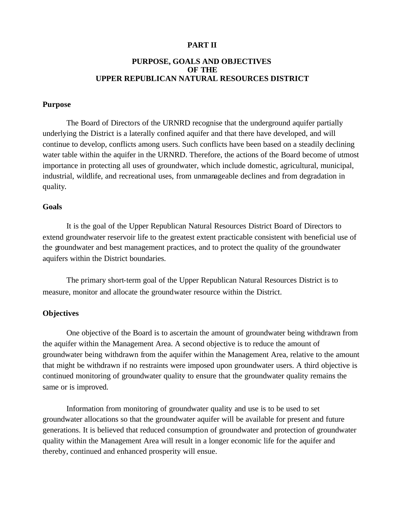## **PART II**

#### **PURPOSE, GOALS AND OBJECTIVES OF THE UPPER REPUBLICAN NATURAL RESOURCES DISTRICT**

#### **Purpose**

The Board of Directors of the URNRD recognise that the underground aquifer partially underlying the District is a laterally confined aquifer and that there have developed, and will continue to develop, conflicts among users. Such conflicts have been based on a steadily declining water table within the aquifer in the URNRD. Therefore, the actions of the Board become of utmost importance in protecting all uses of groundwater, which include domestic, agricultural, municipal, industrial, wildlife, and recreational uses, from unmanageable declines and from degradation in quality.

#### **Goals**

It is the goal of the Upper Republican Natural Resources District Board of Directors to extend groundwater reservoir life to the greatest extent practicable consistent with beneficial use of the groundwater and best management practices, and to protect the quality of the groundwater aquifers within the District boundaries.

The primary short-term goal of the Upper Republican Natural Resources District is to measure, monitor and allocate the groundwater resource within the District.

## **Objectives**

One objective of the Board is to ascertain the amount of groundwater being withdrawn from the aquifer within the Management Area. A second objective is to reduce the amount of groundwater being withdrawn from the aquifer within the Management Area, relative to the amount that might be withdrawn if no restraints were imposed upon groundwater users. A third objective is continued monitoring of groundwater quality to ensure that the groundwater quality remains the same or is improved.

Information from monitoring of groundwater quality and use is to be used to set groundwater allocations so that the groundwater aquifer will be available for present and future generations. It is believed that reduced consumption of groundwater and protection of groundwater quality within the Management Area will result in a longer economic life for the aquifer and thereby, continued and enhanced prosperity will ensue.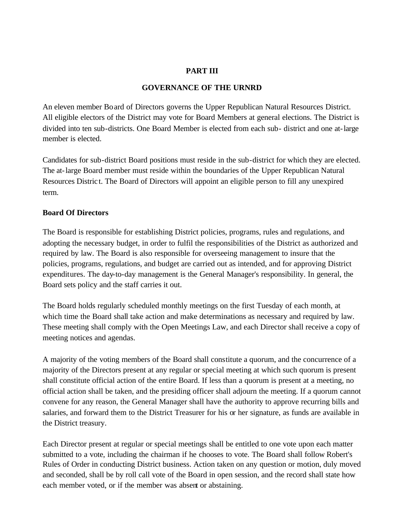## **PART III**

## **GOVERNANCE OF THE URNRD**

An eleven member Board of Directors governs the Upper Republican Natural Resources District. All eligible electors of the District may vote for Board Members at general elections. The District is divided into ten sub-districts. One Board Member is elected from each sub- district and one at-large member is elected.

Candidates for sub-district Board positions must reside in the sub-district for which they are elected. The at-large Board member must reside within the boundaries of the Upper Republican Natural Resources Distric t. The Board of Directors will appoint an eligible person to fill any unexpired term.

## **Board Of Directors**

The Board is responsible for establishing District policies, programs, rules and regulations, and adopting the necessary budget, in order to fulfil the responsibilities of the District as authorized and required by law. The Board is also responsible for overseeing management to insure that the policies, programs, regulations, and budget are carried out as intended, and for approving District expenditures. The day-to-day management is the General Manager's responsibility. In general, the Board sets policy and the staff carries it out.

The Board holds regularly scheduled monthly meetings on the first Tuesday of each month, at which time the Board shall take action and make determinations as necessary and required by law. These meeting shall comply with the Open Meetings Law, and each Director shall receive a copy of meeting notices and agendas.

A majority of the voting members of the Board shall constitute a quorum, and the concurrence of a majority of the Directors present at any regular or special meeting at which such quorum is present shall constitute official action of the entire Board. If less than a quorum is present at a meeting, no official action shall be taken, and the presiding officer shall adjourn the meeting. If a quorum cannot convene for any reason, the General Manager shall have the authority to approve recurring bills and salaries, and forward them to the District Treasurer for his or her signature, as funds are available in the District treasury.

Each Director present at regular or special meetings shall be entitled to one vote upon each matter submitted to a vote, including the chairman if he chooses to vote. The Board shall follow Robert's Rules of Order in conducting District business. Action taken on any question or motion, duly moved and seconded, shall be by roll call vote of the Board in open session, and the record shall state how each member voted, or if the member was absent or abstaining.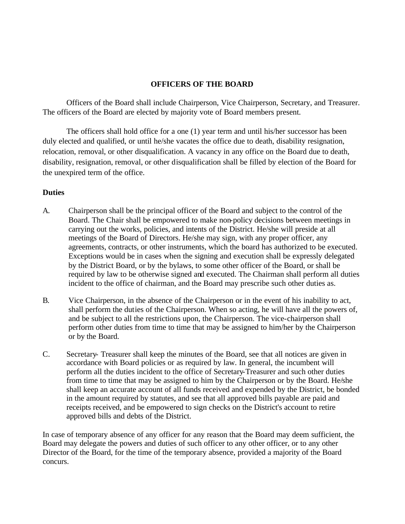## **OFFICERS OF THE BOARD**

Officers of the Board shall include Chairperson, Vice Chairperson, Secretary, and Treasurer. The officers of the Board are elected by majority vote of Board members present.

The officers shall hold office for a one (1) year term and until his/her successor has been duly elected and qualified, or until he/she vacates the office due to death, disability resignation, relocation, removal, or other disqualification. A vacancy in any office on the Board due to death, disability, resignation, removal, or other disqualification shall be filled by election of the Board for the unexpired term of the office.

## **Duties**

- A. Chairperson shall be the principal officer of the Board and subject to the control of the Board. The Chair shall be empowered to make non-policy decisions between meetings in carrying out the works, policies, and intents of the District. He/she will preside at all meetings of the Board of Directors. He/she may sign, with any proper officer, any agreements, contracts, or other instruments, which the board has authorized to be executed. Exceptions would be in cases when the signing and execution shall be expressly delegated by the District Board, or by the bylaws, to some other officer of the Board, or shall be required by law to be otherwise signed and executed. The Chairman shall perform all duties incident to the office of chairman, and the Board may prescribe such other duties as.
- B. Vice Chairperson, in the absence of the Chairperson or in the event of his inability to act, shall perform the duties of the Chairperson. When so acting, he will have all the powers of, and be subject to all the restrictions upon, the Chairperson. The vice-chairperson shall perform other duties from time to time that may be assigned to him/her by the Chairperson or by the Board.
- C. Secretary- Treasurer shall keep the minutes of the Board, see that all notices are given in accordance with Board policies or as required by law. In general, the incumbent will perform all the duties incident to the office of Secretary-Treasurer and such other duties from time to time that may be assigned to him by the Chairperson or by the Board. He/she shall keep an accurate account of all funds received and expended by the District, be bonded in the amount required by statutes, and see that all approved bills payable are paid and receipts received, and be empowered to sign checks on the District's account to retire approved bills and debts of the District.

In case of temporary absence of any officer for any reason that the Board may deem sufficient, the Board may delegate the powers and duties of such officer to any other officer, or to any other Director of the Board, for the time of the temporary absence, provided a majority of the Board concurs.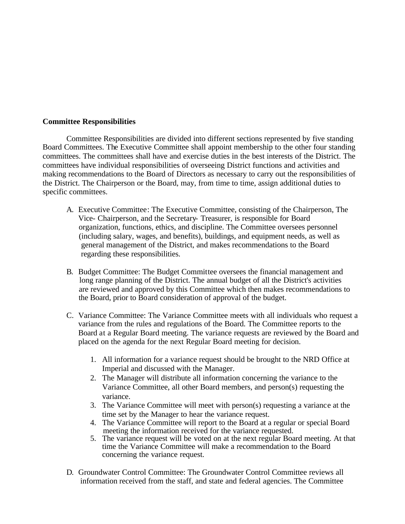#### **Committee Responsibilities**

Committee Responsibilities are divided into different sections represented by five standing Board Committees. The Executive Committee shall appoint membership to the other four standing committees. The committees shall have and exercise duties in the best interests of the District. The committees have individual responsibilities of overseeing District functions and activities and making recommendations to the Board of Directors as necessary to carry out the responsibilities of the District. The Chairperson or the Board, may, from time to time, assign additional duties to specific committees.

- A. Executive Committee: The Executive Committee, consisting of the Chairperson, The Vice- Chairperson, and the Secretary- Treasurer, is responsible for Board organization, functions, ethics, and discipline. The Committee oversees personnel (including salary, wages, and benefits), buildings, and equipment needs, as well as general management of the District, and makes recommendations to the Board regarding these responsibilities.
- B. Budget Committee: The Budget Committee oversees the financial management and long range planning of the District. The annual budget of all the District's activities are reviewed and approved by this Committee which then makes recommendations to the Board, prior to Board consideration of approval of the budget.
- C. Variance Committee: The Variance Committee meets with all individuals who request a variance from the rules and regulations of the Board. The Committee reports to the Board at a Regular Board meeting. The variance requests are reviewed by the Board and placed on the agenda for the next Regular Board meeting for decision.
	- 1. All information for a variance request should be brought to the NRD Office at Imperial and discussed with the Manager.
	- 2. The Manager will distribute all information concerning the variance to the Variance Committee, all other Board members, and person(s) requesting the variance.
	- 3. The Variance Committee will meet with person(s) requesting a variance at the time set by the Manager to hear the variance request.
	- 4. The Variance Committee will report to the Board at a regular or special Board meeting the information received for the variance requested.
	- 5. The variance request will be voted on at the next regular Board meeting. At that time the Variance Committee will make a recommendation to the Board concerning the variance request.
- D. Groundwater Control Committee: The Groundwater Control Committee reviews all information received from the staff, and state and federal agencies. The Committee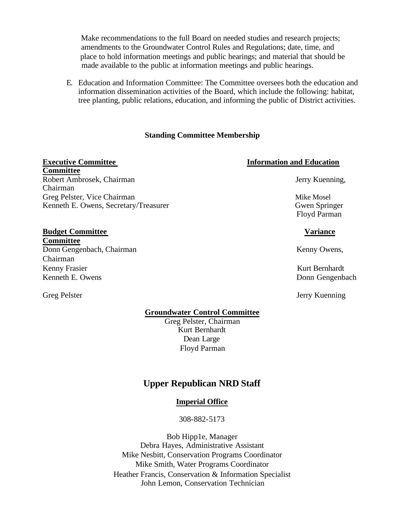Make recommendations to the full Board on needed studies and research projects; amendments to the Groundwater Control Rules and Regulations; date, time, and place to hold information meetings and public hearings; and material that should be made available to the public at information meetings and public hearings.

E. Education and Information Committee: The Committee oversees both the education and information dissemination activities of the Board, which include the following: habitat, tree planting, public relations, education, and informing the public of District activities.

#### **Standing Committee Membership**

## **Committee** Robert Ambrosek, Chairman Jerry Kuenning,

Chairman Greg Pelster, Vice Chairman Mike Mosel and American Mike Mosel Kenneth E. Owens, Secretary/Treasurer Gwen Springer Gwen Springer

#### **Budget Committee Variance**

**Committee** Donn Gengenbach, Chairman Kenny Owens, Kenny Owens, Chairman Kenny Frasier Kurt Bernhardt (Kenny Frasier Kurt Bernhardt Kurt Bernhardt (Kenny Kurt Bernhardt (Kenny Kurt Bernhardt (Kenny Kurt Bernhardt (Kenny Kurt Bernhardt (Kenny Kurt Bernhardt (Kenny Kurt Bernhardt (Kenny Kurt Bern Kenneth E. Owens Donn Gengenbach

## **Executive Committee Information and Education**

Floyd Parman

Greg Pelster Jerry Kuenning

#### **Groundwater Control Committee**

Greg Pelster, Chairman Kurt Bernhardt Dean Large Floyd Parman

## **Upper Republican NRD Staff**

#### **Imperial Office**

308-882-5173

Bob Hipp1e, Manager Debra Hayes, Administrative Assistant Mike Nesbitt, Conservation Programs Coordinator Mike Smith, Water Programs Coordinator Heather Francis, Conservation & Information Specialist John Lemon, Conservation Technician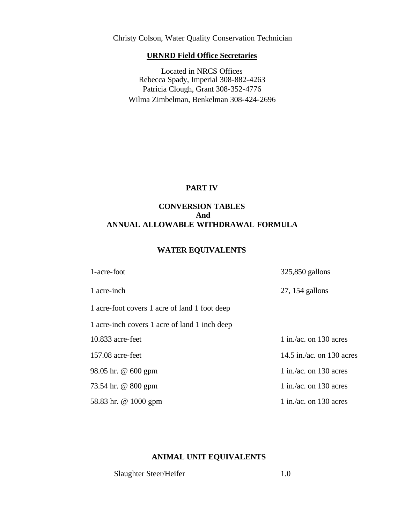Christy Colson, Water Quality Conservation Technician

## **URNRD Field Office Secretaries**

Located in NRCS Offices Rebecca Spady, Imperial 308-882-4263 Patricia Clough, Grant 308-352-4776 Wilma Zimbelman, Benkelman 308-424-2696

## **PART IV**

## **CONVERSION TABLES And ANNUAL ALLOWABLE WITHDRAWAL FORMULA**

#### **WATER EQUIVALENTS**

| 1-acre-foot                                   | 325,850 gallons           |
|-----------------------------------------------|---------------------------|
| 1 acre-inch                                   | $27, 154$ gallons         |
| 1 acre-foot covers 1 acre of land 1 foot deep |                           |
| 1 acre-inch covers 1 acre of land 1 inch deep |                           |
| $10.833$ acre-feet                            | $1$ in./ac. on 130 acres  |
| $157.08$ acre-feet                            | 14.5 in./ac. on 130 acres |
| 98.05 hr. @ 600 gpm                           | $1$ in./ac. on 130 acres  |
| 73.54 hr. @ 800 gpm                           | $1$ in./ac. on 130 acres  |
| 58.83 hr. @ 1000 gpm                          | $1$ in /ac. on 130 acres  |

## **ANIMAL UNIT EQUIVALENTS**

Slaughter Steer/Heifer 1.0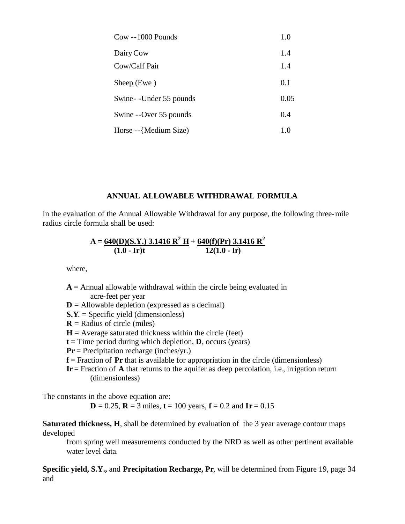| $Cow -1000$ Pounds      | 1.0  |
|-------------------------|------|
| Dairy Cow               | 1.4  |
| Cow/Calf Pair           | 1.4  |
| Sheep (Ewe)             | 0.1  |
| Swine-I-Under 55 pounds | 0.05 |
| Swine --Over 55 pounds  | 0.4  |
| Horse --{Medium Size}   | 1.0  |

## **ANNUAL ALLOWABLE WITHDRAWAL FORMULA**

In the evaluation of the Annual Allowable Withdrawal for any purpose, the following three-mile radius circle formula shall be used:

A = 
$$
\frac{640(D)(S.Y.)}{(1.0 - Ir)t} \cdot \frac{3.1416 R^2 H}{12(1.0 - Ir)} + \frac{640(f)(Pr) 3.1416 R^2}{12(1.0 - Ir)}
$$

where,

 $A =$  Annual allowable withdrawal within the circle being evaluated in acre-feet per year

- $D =$  Allowable depletion (expressed as a decimal)
- **S.Y**. = Specific yield (dimensionless)
- **= Radius of circle (miles)**
- $H =$  Average saturated thickness within the circle (feet)
- $t =$  Time period during which depletion, **D**, occurs (years)
- **Pr** = Precipitation recharge (inches/yr.)
- **f** = Fraction of **Pr** that is available for appropriation in the circle (dimensionless)
- **Ir** = Fraction of **A** that returns to the aquifer as deep percolation, i.e., irrigation return (dimensionless)

The constants in the above equation are:

**D** = 0.25, **R** = 3 miles, **t** = 100 years, **f** = 0.2 and **Ir** = 0.15

**Saturated thickness, H**, shall be determined by evaluation of the 3 year average contour maps developed

from spring well measurements conducted by the NRD as well as other pertinent available water level data.

**Specific yield, S.Y.,** and **Precipitation Recharge, Pr**, will be determined from Figure 19, page 34 and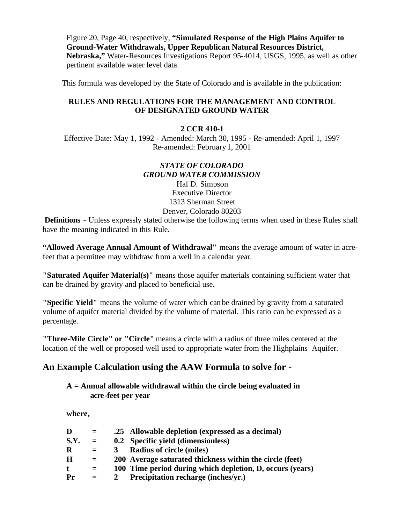Figure 20, Page 40, respectively, **"Simulated Response of the High Plains Aquifer to Ground-Water Withdrawals, Upper Republican Natural Resources District, Nebraska,"** Water-Resources Investigations Report 95-4014, USGS, 1995, as well as other pertinent available water level data.

This formula was developed by the State of Colorado and is available in the publication:

## **RULES AND REGULATIONS FOR THE MANAGEMENT AND CONTROL OF DESIGNATED GROUND WATER**

### **2 CCR 410-1**

Effective Date: May 1, 1992 - Amended: March 30, 1995 - Re-amended: April 1, 1997 Re-amended: February 1, 2001

## *STATE OF COLORADO GROUND WATER COMMISSION*

Hal D. Simpson Executive Director 1313 Sherman Street Denver, Colorado 80203

 **Definitions** - Unless expressly stated otherwise the following terms when used in these Rules shall have the meaning indicated in this Rule.

**"Allowed Average Annual Amount of Withdrawal"** means the average amount of water in acrefeet that a permittee may withdraw from a well in a calendar year.

**"Saturated Aquifer Material(s)"** means those aquifer materials containing sufficient water that can be drained by gravity and placed to beneficial use.

**"Specific Yield"** means the volume of water which can be drained by gravity from a saturated volume of aquifer material divided by the volume of material. This ratio can be expressed as a percentage.

**"Three-Mile Circle" or "Circle"** means a circle with a radius of three miles centered at the location of the well or proposed well used to appropriate water from the Highplains Aquifer.

## **An Example Calculation using the AAW Formula to solve for -**

## **A = Annual allowable withdrawal within the circle being evaluated in acre-feet per year**

**where,**

| D    | $=$ | .25 Allowable depletion (expressed as a decimal)          |
|------|-----|-----------------------------------------------------------|
| S.Y. | $=$ | 0.2 Specific yield (dimensionless)                        |
| R    | $=$ | <b>Radius of circle (miles)</b>                           |
| H    | $=$ | 200 Average saturated thickness within the circle (feet)  |
| t    | $=$ | 100 Time period during which depletion, D, occurs (years) |
| Pr   | $=$ | Precipitation recharge (inches/yr.)                       |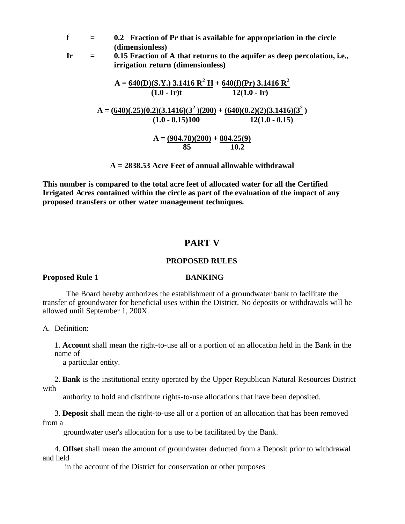**f = 0.2 Fraction of Pr that is available for appropriation in the circle (dimensionless)**

**Ir = 0.15 Fraction of A that returns to the aquifer as deep percolation, i.e., irrigation return (dimensionless)**

A = 
$$
\frac{640(D)(S.Y.) \cdot 3.1416 \cdot R^2 \cdot H}{(1.0 - Ir)t} + \frac{640(f)(Pr) \cdot 3.1416 \cdot R^2}{12(1.0 - Ir)}
$$
  
A =  $\frac{(640)(.25)(0.2)(3.1416)(3^2)(200)}{(1.0 - 0.15)100} + \frac{(640)(0.2)(2)(3.1416)(3^2)}{12(1.0 - 0.15)}$   
A =  $\frac{(904.78)(200)}{85} + \frac{804.25(9)}{10.2}$ 

**A = 2838.53 Acre Feet of annual allowable withdrawal**

**This number is compared to the total acre feet of allocated water for all the Certified Irrigated Acres contained within the circle as part of the evaluation of the impact of any proposed transfers or other water management techniques.**

## **PART V**

### **PROPOSED RULES**

### **Proposed Rule 1 BANKING**

The Board hereby authorizes the establishment of a groundwater bank to facilitate the transfer of groundwater for beneficial uses within the District. No deposits or withdrawals will be allowed until September 1, 200X.

A. Definition:

1. **Account** shall mean the right-to-use all or a portion of an allocation held in the Bank in the name of

a particular entity.

2. **Bank** is the institutional entity operated by the Upper Republican Natural Resources District with

authority to hold and distribute rights-to-use allocations that have been deposited.

3. **Deposit** shall mean the right-to-use all or a portion of an allocation that has been removed

## from a

groundwater user's allocation for a use to be facilitated by the Bank.

4. **Offset** shall mean the amount of groundwater deducted from a Deposit prior to withdrawal and held

in the account of the District for conservation or other purposes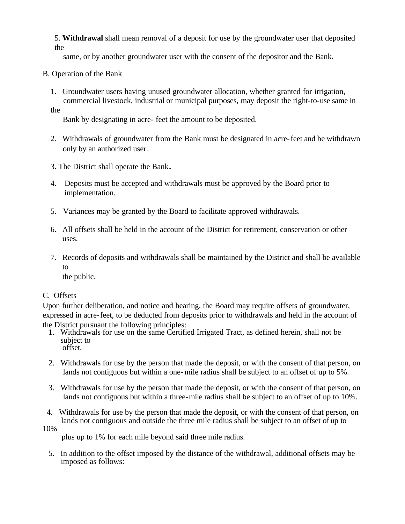5. **Withdrawal** shall mean removal of a deposit for use by the groundwater user that deposited the

same, or by another groundwater user with the consent of the depositor and the Bank.

## B. Operation of the Bank

1. Groundwater users having unused groundwater allocation, whether granted for irrigation, commercial livestock, industrial or municipal purposes, may deposit the right-to-use same in

the

Bank by designating in acre- feet the amount to be deposited.

- 2. Withdrawals of groundwater from the Bank must be designated in acre-feet and be withdrawn only by an authorized user.
- 3. The District shall operate the Bank**.**
- 4. Deposits must be accepted and withdrawals must be approved by the Board prior to implementation.
- 5. Variances may be granted by the Board to facilitate approved withdrawals.
- 6. All offsets shall be held in the account of the District for retirement, conservation or other uses.
- 7. Records of deposits and withdrawals shall be maintained by the District and shall be available to

the public.

## C. Offsets

Upon further deliberation, and notice and hearing, the Board may require offsets of groundwater, expressed in acre-feet, to be deducted from deposits prior to withdrawals and held in the account of the District pursuant the following principles:

- 1. Withdrawals for use on the same Certified Irrigated Tract, as defined herein, shall not be subject to offset.
- 2. Withdrawals for use by the person that made the deposit, or with the consent of that person, on lands not contiguous but within a one-mile radius shall be subject to an offset of up to 5%.
- 3. Withdrawals for use by the person that made the deposit, or with the consent of that person, on lands not contiguous but within a three-mile radius shall be subject to an offset of up to 10%.
- 4. Withdrawals for use by the person that made the deposit, or with the consent of that person, on lands not contiguous and outside the three mile radius shall be subject to an offset of up to

10%

plus up to 1% for each mile beyond said three mile radius.

5. In addition to the offset imposed by the distance of the withdrawal, additional offsets may be imposed as follows: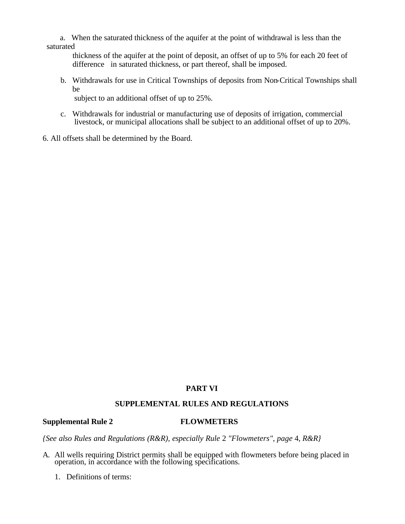a. When the saturated thickness of the aquifer at the point of withdrawal is less than the saturated

 thickness of the aquifer at the point of deposit, an offset of up to 5% for each 20 feet of difference in saturated thickness, or part thereof, shall be imposed.

b. Withdrawals for use in Critical Townships of deposits from Non-Critical Townships shall be

subject to an additional offset of up to 25%.

- c. Withdrawals for industrial or manufacturing use of deposits of irrigation, commercial livestock, or municipal allocations shall be subject to an additional offset of up to 20%.
- 6. All offsets shall be determined by the Board.

## **PART VI**

## **SUPPLEMENTAL RULES AND REGULATIONS**

#### **Supplemental Rule 2 FLOWMETERS**

*{See also Rules and Regulations (R&R), especially Rule* 2 *"Flowmeters", page* 4, *R&R}*

- A. All wells requiring District permits shall be equipped with flowmeters before being placed in operation, in accordance with the following specifications.
	- 1. Definitions of terms: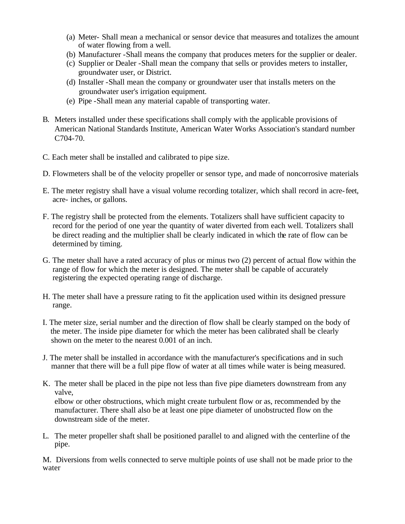- (a) Meter- Shall mean a mechanical or sensor device that measures and totalizes the amount of water flowing from a well.
- (b) Manufacturer -Shall means the company that produces meters for the supplier or dealer.
- (c) Supplier or Dealer -Shall mean the company that sells or provides meters to installer, groundwater user, or District.
- (d) Installer -Shall mean the company or groundwater user that installs meters on the groundwater user's irrigation equipment.
- (e) Pipe -Shall mean any material capable of transporting water.
- B. Meters installed under these specifications shall comply with the applicable provisions of American National Standards Institute, American Water Works Association's standard number C704-70.
- C. Each meter shall be installed and calibrated to pipe size.
- D. Flowmeters shall be of the velocity propeller or sensor type, and made of noncorrosive materials
- E. The meter registry shall have a visual volume recording totalizer, which shall record in acre-feet, acre- inches, or gallons.
- F. The registry shall be protected from the elements. Totalizers shall have sufficient capacity to record for the period of one year the quantity of water diverted from each well. Totalizers shall be direct reading and the multiplier shall be clearly indicated in which the rate of flow can be determined by timing.
- G. The meter shall have a rated accuracy of plus or minus two (2) percent of actual flow within the range of flow for which the meter is designed. The meter shall be capable of accurately registering the expected operating range of discharge.
- H. The meter shall have a pressure rating to fit the application used within its designed pressure range.
- I. The meter size, serial number and the direction of flow shall be clearly stamped on the body of the meter. The inside pipe diameter for which the meter has been calibrated shall be clearly shown on the meter to the nearest 0.001 of an inch.
- J. The meter shall be installed in accordance with the manufacturer's specifications and in such manner that there will be a full pipe flow of water at all times while water is being measured.
- K. The meter shall be placed in the pipe not less than five pipe diameters downstream from any valve, elbow or other obstructions, which might create turbulent flow or as, recommended by the manufacturer. There shall also be at least one pipe diameter of unobstructed flow on the downstream side of the meter.
- L. The meter propeller shaft shall be positioned parallel to and aligned with the centerline of the pipe.

M. Diversions from wells connected to serve multiple points of use shall not be made prior to the water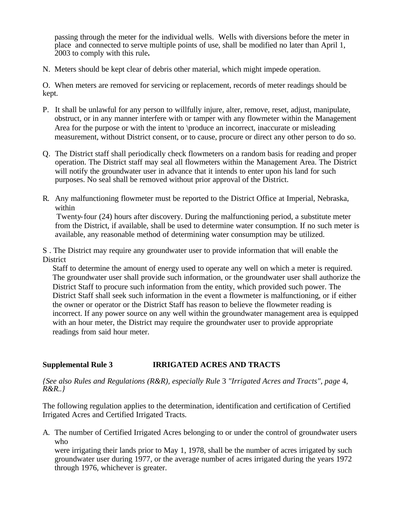passing through the meter for the individual wells. Wells with diversions before the meter in place and connected to serve multiple points of use, shall be modified no later than April 1, 2003 to comply with this rule**.**

N. Meters should be kept clear of debris other material, which might impede operation.

O. When meters are removed for servicing or replacement, records of meter readings should be kept.

- P. It shall be unlawful for any person to willfully injure, alter, remove, reset, adjust, manipulate, obstruct, or in any manner interfere with or tamper with any flowmeter within the Management Area for the purpose or with the intent to \produce an incorrect, inaccurate or misleading measurement, without District consent, or to cause, procure or direct any other person to do so.
- Q. The District staff shall periodically check flowmeters on a random basis for reading and proper operation. The District staff may seal all flowmeters within the Management Area. The District will notify the groundwater user in advance that it intends to enter upon his land for such purposes. No seal shall be removed without prior approval of the District.
- R. Any malfunctioning flowmeter must be reported to the District Office at Imperial, Nebraska, within

Twenty-four (24) hours after discovery. During the malfunctioning period, a substitute meter from the District, if available, shall be used to determine water consumption. If no such meter is available, any reasonable method of determining water consumption may be utilized.

S . The District may require any groundwater user to provide information that will enable the **District** 

Staff to determine the amount of energy used to operate any well on which a meter is required. The groundwater user shall provide such information, or the groundwater user shall authorize the District Staff to procure such information from the entity, which provided such power. The District Staff shall seek such information in the event a flowmeter is malfunctioning, or if either the owner or operator or the District Staff has reason to believe the flowmeter reading is incorrect. If any power source on any well within the groundwater management area is equipped with an hour meter, the District may require the groundwater user to provide appropriate readings from said hour meter.

## **Supplemental Rule 3 IRRIGATED ACRES AND TRACTS**

*{See also Rules and Regulations (R&R), especially Rule* 3 *"Irrigated Acres and Tracts", page* 4, *R&R..}* 

The following regulation applies to the determination, identification and certification of Certified Irrigated Acres and Certified Irrigated Tracts.

A. The number of Certified Irrigated Acres belonging to or under the control of groundwater users who

were irrigating their lands prior to May 1, 1978, shall be the number of acres irrigated by such groundwater user during 1977, or the average number of acres irrigated during the years 1972 through 1976, whichever is greater.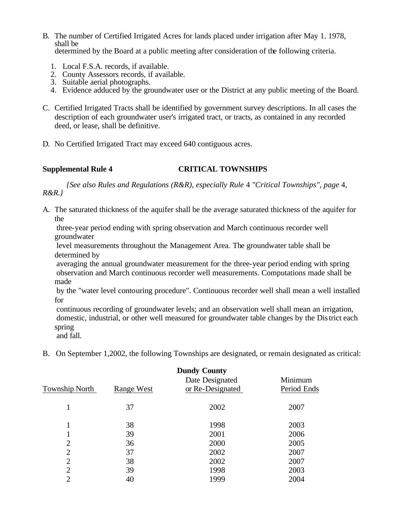- B. The number of Certified Irrigated Acres for lands placed under irrigation after May 1. 1978, shall be determined by the Board at a public meeting after consideration of the following criteria.
	- 1. Local F.S.A. records, if available.
	- 2. County Assessors records, if available.
	- 3. Suitable aerial photographs.
	- 4. Evidence adduced by the groundwater user or the District at any public meeting of the Board.
- C. Certified Irrigated Tracts shall be identified by government survey descriptions. In all cases the description of each groundwater user's irrigated tract, or tracts, as contained in any recorded deed, or lease, shall be definitive.
- D. No Certified Irrigated Tract may exceed 640 contiguous acres.

## **Supplemental Rule 4 CRITICAL TOWNSHIPS**

*{See also Rules and Regulations (R&R), especially Rule* 4 *"Critical Townships", page* 4, *R&R.}* 

A. The saturated thickness of the aquifer shall be the average saturated thickness of the aquifer for the

three-year period ending with spring observation and March continuous recorder well groundwater

level measurements throughout the Management Area. The groundwater table shall be determined by

averaging the annual groundwater measurement for the three-year period ending with spring observation and March continuous recorder well measurements. Computations made shall be made

by the "water level contouring procedure". Continuous recorder well shall mean a well installed for

continuous recording of groundwater levels; and an observation well shall mean an irrigation, domestic, industrial, or other well measured for groundwater table changes by the District each spring

and fall.

B. On September 1,2002, the following Townships are designated, or remain designated as critical:

| <b>Dundy County</b><br>Date Designated<br>Minimum |            |                  |             |
|---------------------------------------------------|------------|------------------|-------------|
| Township North                                    | Range West | or Re-Designated | Period Ends |
| 1                                                 | 37         | 2002             | 2007        |
| 1                                                 | 38         | 1998             | 2003        |
| 1                                                 | 39         | 2001             | 2006        |
| $\overline{2}$                                    | 36         | 2000             | 2005        |
| $\overline{2}$                                    | 37         | 2002             | 2007        |
| $\overline{2}$                                    | 38         | 2002             | 2007        |
| $\overline{2}$                                    | 39         | 1998             | 2003        |
| $\overline{2}$                                    | 40         | 1999             | 2004        |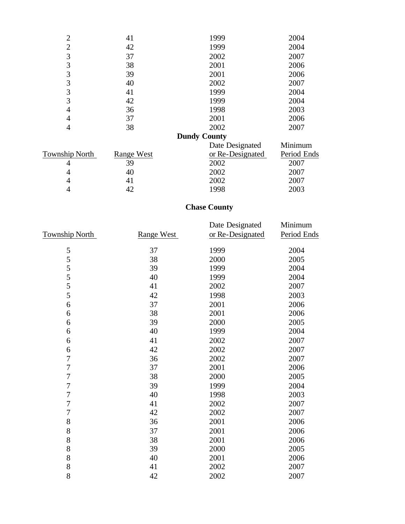| 41         | 1999                | 2004        |
|------------|---------------------|-------------|
| 42         | 1999                | 2004        |
| 37         | 2002                | 2007        |
| 38         | 2001                | 2006        |
| 39         | 2001                | 2006        |
| 40         | 2002                | 2007        |
| 41         | 1999                | 2004        |
| 42         | 1999                | 2004        |
| 36         | 1998                | 2003        |
| 37         | 2001                | 2006        |
| 38         | 2002                | 2007        |
|            | <b>Dundy County</b> |             |
|            | Date Designated     | Minimum     |
| Range West | or Re-Designated    | Period Ends |
| 39         | 2002                | 2007        |
| 40         | 2002                | 2007        |
| 41         |                     | 2007        |
| 42         | 1998                | 2003        |
|            |                     | 2002        |

## **Chase County**

|                       |            | Date Designated  | Minimum     |
|-----------------------|------------|------------------|-------------|
| <b>Township North</b> | Range West | or Re-Designated | Period Ends |
| 5                     | 37         | 1999             | 2004        |
| 5                     | 38         | 2000             | 2005        |
| 5                     | 39         | 1999             | 2004        |
| 5                     | 40         | 1999             | 2004        |
| 5                     | 41         | 2002             | 2007        |
| 5                     | 42         | 1998             | 2003        |
| 6                     | 37         | 2001             | 2006        |
| 6                     | 38         | 2001             | 2006        |
| 6                     | 39         | 2000             | 2005        |
| 6                     | 40         | 1999             | 2004        |
| 6                     | 41         | 2002             | 2007        |
| 6                     | 42         | 2002             | 2007        |
| $\boldsymbol{7}$      | 36         | 2002             | 2007        |
| $\overline{7}$        | 37         | 2001             | 2006        |
| $\overline{7}$        | 38         | 2000             | 2005        |
| $\overline{7}$        | 39         | 1999             | 2004        |
| $\overline{7}$        | 40         | 1998             | 2003        |
| $\overline{7}$        | 41         | 2002             | 2007        |
| $\overline{7}$        | 42         | 2002             | 2007        |
| 8                     | 36         | 2001             | 2006        |
| 8                     | 37         | 2001             | 2006        |
| 8                     | 38         | 2001             | 2006        |
| 8                     | 39         | 2000             | 2005        |
| 8                     | 40         | 2001             | 2006        |
| 8                     | 41         | 2002             | 2007        |
| 8                     | 42         | 2002             | 2007        |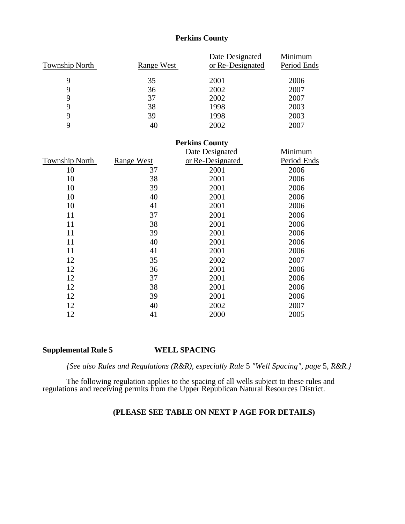## **Perkins County**

|                       |                   | Date Designated       | Minimum     |
|-----------------------|-------------------|-----------------------|-------------|
| <b>Township North</b> | Range West        | or Re-Designated      | Period Ends |
| 9                     | 35                | 2001                  | 2006        |
| 9                     | 36                | 2002                  | 2007        |
| 9                     | 37                | 2002                  | 2007        |
| 9                     | 38                | 1998                  | 2003        |
| 9                     | 39                | 1998                  | 2003        |
| 9                     | 40                | 2002                  | 2007        |
|                       |                   | <b>Perkins County</b> |             |
|                       |                   | Date Designated       | Minimum     |
| <b>Township North</b> | <b>Range West</b> | or Re-Designated      | Period Ends |
| 10                    | 37                | 2001                  | 2006        |
| 10                    | 38                | 2001                  | 2006        |
| 10                    | 39                | 2001                  | 2006        |
| 10                    | 40                | 2001                  | 2006        |
| 10                    | 41                | 2001                  | 2006        |
| 11                    | 37                | 2001                  | 2006        |
| 11                    | 38                | 2001                  | 2006        |
| 11                    | 39                | 2001                  | 2006        |
| 11                    | 40                | 2001                  | 2006        |
| 11                    | 41                | 2001                  | 2006        |
| 12                    | 35                | 2002                  | 2007        |
| 12                    | 36                | 2001                  | 2006        |
| 12                    | 37                | 2001                  | 2006        |
| 12                    | 38                | 2001                  | 2006        |
| 12                    | 39                | 2001                  | 2006        |
| 12                    | 40                | 2002                  | 2007        |
| 12                    | 41                | 2000                  | 2005        |

## **Supplemental Rule 5 WELL SPACING**

*{See also Rules and Regulations (R&R), especially Rule* 5 *"Well Spacing", page* 5, *R&R.}* 

The following regulation applies to the spacing of all wells subject to these rules and regulations and receiving permits from the Upper Republican Natural Resources District.

## **(PLEASE SEE TABLE ON NEXT P AGE FOR DETAILS)**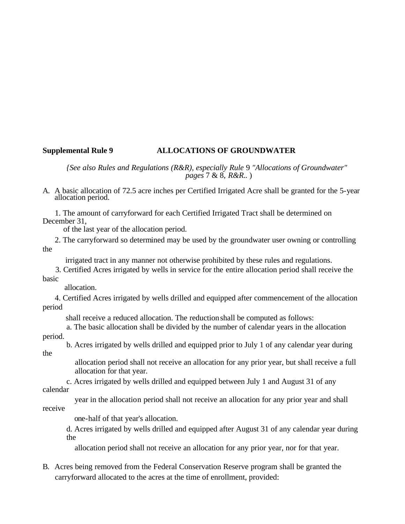## **Supplemental Rule 9 ALLOCATIONS OF GROUNDWATER**

*{See also Rules and Regulations (R&R), especially Rule* 9 *"Allocations of Groundwater" pages* 7 & 8, *R&R..* )

A. A basic allocation of 72.5 acre inches per Certified Irrigated Acre shall be granted for the 5-year allocation period.

 1. The amount of carryforward for each Certified Irrigated Tract shall be determined on December 31,

of the last year of the allocation period.

 2. The carryforward so determined may be used by the groundwater user owning or controlling the

irrigated tract in any manner not otherwise prohibited by these rules and regulations.

 3. Certified Acres irrigated by wells in service for the entire allocation period shall receive the basic

allocation.

 4. Certified Acres irrigated by wells drilled and equipped after commencement of the allocation period

shall receive a reduced allocation. The reduction shall be computed as follows:

a. The basic allocation shall be divided by the number of calendar years in the allocation

period.

the

b. Acres irrigated by wells drilled and equipped prior to July 1 of any calendar year during

 allocation period shall not receive an allocation for any prior year, but shall receive a full allocation for that year.

c. Acres irrigated by wells drilled and equipped between July 1 and August 31 of any calendar

 year in the allocation period shall not receive an allocation for any prior year and shall receive

one-half of that year's allocation.

d. Acres irrigated by wells drilled and equipped after August 31 of any calendar year during the

allocation period shall not receive an allocation for any prior year, nor for that year.

## B. Acres being removed from the Federal Conservation Reserve program shall be granted the carryforward allocated to the acres at the time of enrollment, provided: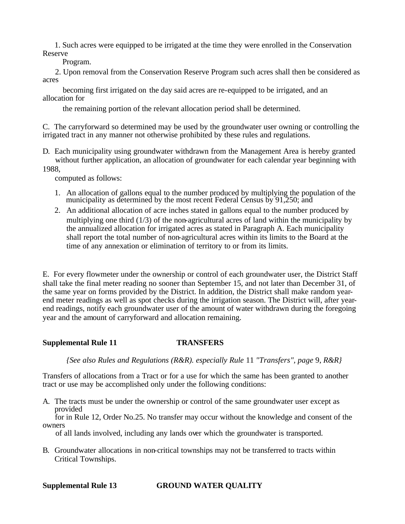1. Such acres were equipped to be irrigated at the time they were enrolled in the Conservation Reserve

Program.

 2. Upon removal from the Conservation Reserve Program such acres shall then be considered as acres

 becoming first irrigated on the day said acres are re-equipped to be irrigated, and an allocation for

the remaining portion of the relevant allocation period shall be determined.

C. The carryforward so determined may be used by the groundwater user owning or controlling the irrigated tract in any manner not otherwise prohibited by these rules and regulations.

- D. Each municipality using groundwater withdrawn from the Management Area is hereby granted without further application, an allocation of groundwater for each calendar year beginning with
- 1988,

computed as follows:

- 1. An allocation of gallons equal to the number produced by multiplying the population of the municipality as determined by the most recent Federal Census by 91,250; and
- 2. An additional allocation of acre inches stated in gallons equal to the number produced by multiplying one third (1/3) of the non-agricultural acres of land within the municipality by the annualized allocation for irrigated acres as stated in Paragraph A. Each municipality shall report the total number of non-agricultural acres within its limits to the Board at the time of any annexation or elimination of territory to or from its limits.

E. For every flowmeter under the ownership or control of each groundwater user, the District Staff shall take the final meter reading no sooner than September 15, and not later than December 31, of the same year on forms provided by the District. In addition, the District shall make random yearend meter readings as well as spot checks during the irrigation season. The District will, after yearend readings, notify each groundwater user of the amount of water withdrawn during the foregoing year and the amount of carryforward and allocation remaining.

## **Supplemental Rule 11 TRANSFERS**

*{See also Rules and Regulations (R&R). especially Rule* 11 *"Transfers", page* 9, *R&R}* 

Transfers of allocations from a Tract or for a use for which the same has been granted to another tract or use may be accomplished only under the following conditions:

A. The tracts must be under the ownership or control of the same groundwater user except as provided

 for in Rule 12, Order No.25. No transfer may occur without the knowledge and consent of the owners

of all lands involved, including any lands over which the groundwater is transported.

B. Groundwater allocations in non-critical townships may not be transferred to tracts within Critical Townships.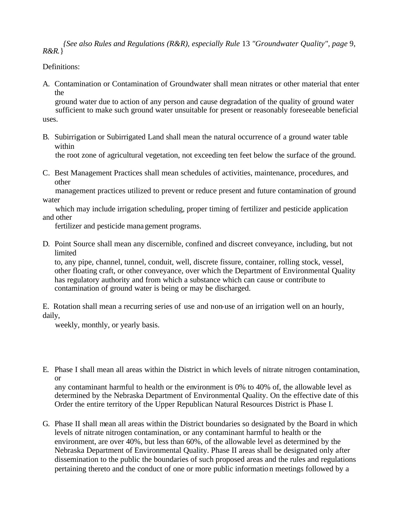*{See also Rules and Regulations (R&R), especially Rule* 13 *"Groundwater Quality", page* 9, *R&R.*}

## Definitions:

A. Contamination or Contamination of Groundwater shall mean nitrates or other material that enter the

 ground water due to action of any person and cause degradation of the quality of ground water sufficient to make such ground water unsuitable for present or reasonably foreseeable beneficial uses.

B. Subirrigation or Subirrigated Land shall mean the natural occurrence of a ground water table within

the root zone of agricultural vegetation, not exceeding ten feet below the surface of the ground.

C. Best Management Practices shall mean schedules of activities, maintenance, procedures, and other

 management practices utilized to prevent or reduce present and future contamination of ground water

 which may include irrigation scheduling, proper timing of fertilizer and pesticide application and other

fertilizer and pesticide management programs.

D. Point Source shall mean any discernible, confined and discreet conveyance, including, but not limited

to, any pipe, channel, tunnel, conduit, well, discrete fissure, container, rolling stock, vessel, other floating craft, or other conveyance, over which the Department of Environmental Quality has regulatory authority and from which a substance which can cause or contribute to contamination of ground water is being or may be discharged.

E. Rotation shall mean a recurring series of use and non-use of an irrigation well on an hourly, daily,

weekly, monthly, or yearly basis.

E. Phase I shall mean all areas within the District in which levels of nitrate nitrogen contamination, or

any contaminant harmful to health or the environment is 0% to 40% of, the allowable level as determined by the Nebraska Department of Environmental Quality. On the effective date of this Order the entire territory of the Upper Republican Natural Resources District is Phase I.

G. Phase II shall mean all areas within the District boundaries so designated by the Board in which levels of nitrate nitrogen contamination, or any contaminant harmful to health or the environment, are over 40%, but less than 60%, of the allowable level as determined by the Nebraska Department of Environmental Quality. Phase II areas shall be designated only after dissemination to the public the boundaries of such proposed areas and the rules and regulations pertaining thereto and the conduct of one or more public information meetings followed by a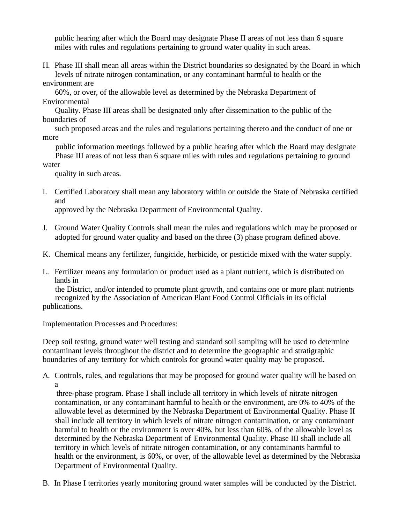public hearing after which the Board may designate Phase II areas of not less than 6 square miles with rules and regulations pertaining to ground water quality in such areas.

H. Phase III shall mean all areas within the District boundaries so designated by the Board in which levels of nitrate nitrogen contamination, or any contaminant harmful to health or the environment are

 60%, or over, of the allowable level as determined by the Nebraska Department of Environmental

 Quality. Phase III areas shall be designated only after dissemination to the public of the boundaries of

 such proposed areas and the rules and regulations pertaining thereto and the conduc t of one or more

 public information meetings followed by a public hearing after which the Board may designate Phase III areas of not less than 6 square miles with rules and regulations pertaining to ground water

quality in such areas.

I. Certified Laboratory shall mean any laboratory within or outside the State of Nebraska certified and

approved by the Nebraska Department of Environmental Quality.

- J. Ground Water Quality Controls shall mean the rules and regulations which may be proposed or adopted for ground water quality and based on the three (3) phase program defined above.
- K. Chemical means any fertilizer, fungicide, herbicide, or pesticide mixed with the water supply.
- L. Fertilizer means any formulation or product used as a plant nutrient, which is distributed on lands in

 the District, and/or intended to promote plant growth, and contains one or more plant nutrients recognized by the Association of American Plant Food Control Officials in its official publications.

Implementation Processes and Procedures:

Deep soil testing, ground water well testing and standard soil sampling will be used to determine contaminant levels throughout the district and to determine the geographic and stratigraphic boundaries of any territory for which controls for ground water quality may be proposed.

A. Controls, rules, and regulations that may be proposed for ground water quality will be based on a

three-phase program. Phase I shall include all territory in which levels of nitrate nitrogen contamination, or any contaminant harmful to health or the environment, are 0% to 40% of the allowable level as determined by the Nebraska Department of Environmental Quality. Phase II shall include all territory in which levels of nitrate nitrogen contamination, or any contaminant harmful to health or the environment is over 40%, but less than 60%, of the allowable level as determined by the Nebraska Department of Environmental Quality. Phase III shall include all territory in which levels of nitrate nitrogen contamination, or any contaminants harmful to health or the environment, is 60%, or over, of the allowable level as determined by the Nebraska Department of Environmental Quality.

B. In Phase I territories yearly monitoring ground water samples will be conducted by the District.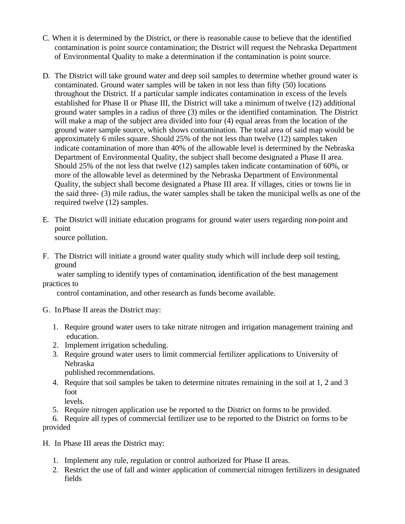- C. When it is determined by the District, or there is reasonable cause to believe that the identified contamination is point source contamination; the District will request the Nebraska Department of Environmental Quality to make a determination if the contamination is point source.
- D. The District will take ground water and deep soil samples to determine whether ground water is contaminated. Ground water samples will be taken in not less than fifty (50) locations throughout the District. If a particular sample indicates contamination in excess of the levels established for Phase II or Phase III, the District will take a minimum of twelve (12) additional ground water samples in a radius of three (3) miles or the identified contamination. The District will make a map of the subject area divided into four (4) equal areas from the location of the ground water sample source, which shows contamination. The total area of said map would be approximately 6 miles square. Should 25% of the not less than twelve (12) samples taken indicate contamination of more than 40% of the allowable level is determined by the Nebraska Department of Environmental Quality, the subject shall become designated a Phase II area. Should 25% of the not less that twelve (12) samples taken indicate contamination of 60%, or more of the allowable level as determined by the Nebraska Department of Environmental Quality, the subject shall become designated a Phase III area. If villages, cities or towns lie in the said three- (3) mile radius, the water samples shall be taken the municipal wells as one of the required twelve (12) samples.
- E. The District will initiate education programs for ground water users regarding non-point and point source pollution.
- F. The District will initiate a ground water quality study which will include deep soil testing, ground

 water sampling to identify types of contamination, identification of the best management practices to

control contamination, and other research as funds become available.

- G. In Phase II areas the District may:
	- 1. Require ground water users to take nitrate nitrogen and irrigation management training and education.
	- 2. Implement irrigation scheduling.
	- 3. Require ground water users to limit commercial fertilizer applications to University of Nebraska

published recommendations.

- 4. Require that soil samples be taken to determine nitrates remaining in the soil at 1, 2 and 3 foot
	- levels.
- 5. Require nitrogen application use be reported to the District on forms to be provided.

6. Require all types of commercial fertilizer use to be reported to the District on forms to be provided

H. In Phase III areas the District may:

- 1. Implement any rule, regulation or control authorized for Phase II areas.
- 2. Restrict the use of fall and winter application of commercial nitrogen fertilizers in designated fields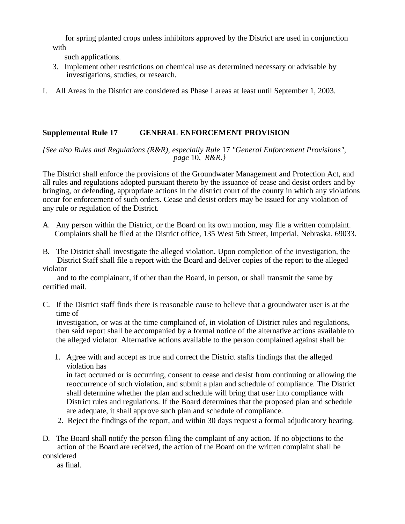for spring planted crops unless inhibitors approved by the District are used in conjunction with

such applications.

- 3. Implement other restrictions on chemical use as determined necessary or advisable by investigations, studies, or research.
- I. All Areas in the District are considered as Phase I areas at least until September 1, 2003.

## **Supplemental Rule 17 GENERAL ENFORCEMENT PROVISION**

*{See also Rules and Regulations (R&R), especially Rule* 17 *"General Enforcement Provisions", page* 10, *R&R.}* 

The District shall enforce the provisions of the Groundwater Management and Protection Act, and all rules and regulations adopted pursuant thereto by the issuance of cease and desist orders and by bringing, or defending, appropriate actions in the district court of the county in which any violations occur for enforcement of such orders. Cease and desist orders may be issued for any violation of any rule or regulation of the District.

A. Any person within the District, or the Board on its own motion, may file a written complaint. Complaints shall be filed at the District office, 135 West 5th Street, Imperial, Nebraska. 69033.

B. The District shall investigate the alleged violation. Upon completion of the investigation, the District Staff shall file a report with the Board and deliver copies of the report to the alleged violator

 and to the complainant, if other than the Board, in person, or shall transmit the same by certified mail.

C. If the District staff finds there is reasonable cause to believe that a groundwater user is at the time of

investigation, or was at the time complained of, in violation of District rules and regulations, then said report shall be accompanied by a formal notice of the alternative actions available to the alleged violator. Alternative actions available to the person complained against shall be:

1. Agree with and accept as true and correct the District staffs findings that the alleged violation has

in fact occurred or is occurring, consent to cease and desist from continuing or allowing the reoccurrence of such violation, and submit a plan and schedule of compliance. The District shall determine whether the plan and schedule will bring that user into compliance with District rules and regulations. If the Board determines that the proposed plan and schedule are adequate, it shall approve such plan and schedule of compliance.

- 2. Reject the findings of the report, and within 30 days request a formal adjudicatory hearing.
- D. The Board shall notify the person filing the complaint of any action. If no objections to the action of the Board are received, the action of the Board on the written complaint shall be considered

as final.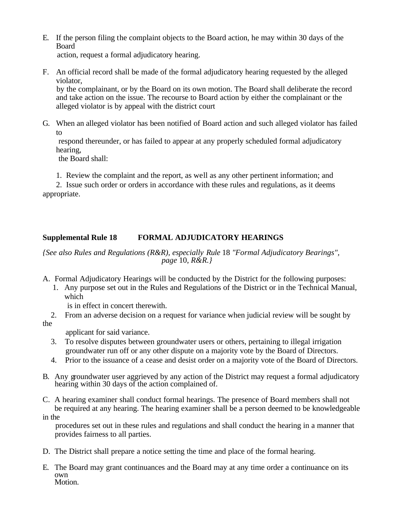E. If the person filing the complaint objects to the Board action, he may within 30 days of the Board

action, request a formal adjudicatory hearing.

F. An official record shall be made of the formal adjudicatory hearing requested by the alleged violator,

by the complainant, or by the Board on its own motion. The Board shall deliberate the record and take action on the issue. The recourse to Board action by either the complainant or the alleged violator is by appeal with the district court

G. When an alleged violator has been notified of Board action and such alleged violator has failed to

respond thereunder, or has failed to appear at any properly scheduled formal adjudicatory hearing,

the Board shall:

1. Review the complaint and the report, as well as any other pertinent information; and

2. Issue such order or orders in accordance with these rules and regulations, as it deems appropriate.

## **Supplemental Rule 18 FORMAL ADJUDICATORY HEARINGS**

## *{See also Rules and Regulations (R&R), especially Rule* 18 *"Formal Adjudicatory Bearings", page* 10, *R&R.}*

A. Formal Adjudicatory Hearings will be conducted by the District for the following purposes:

1. Any purpose set out in the Rules and Regulations of the District or in the Technical Manual, which

is in effect in concert therewith.

 2. From an adverse decision on a request for variance when judicial review will be sought by the

applicant for said variance.

- 3. To resolve disputes between groundwater users or others, pertaining to illegal irrigation groundwater run off or any other dispute on a majority vote by the Board of Directors.
- 4. Prior to the issuance of a cease and desist order on a majority vote of the Board of Directors.
- B. Any groundwater user aggrieved by any action of the District may request a formal adjudicatory hearing within 30 days of the action complained of.

C. A hearing examiner shall conduct formal hearings. The presence of Board members shall not be required at any hearing. The hearing examiner shall be a person deemed to be knowledgeable

in the

 procedures set out in these rules and regulations and shall conduct the hearing in a manner that provides fairness to all parties.

- D. The District shall prepare a notice setting the time and place of the formal hearing.
- E. The Board may grant continuances and the Board may at any time order a continuance on its own Motion.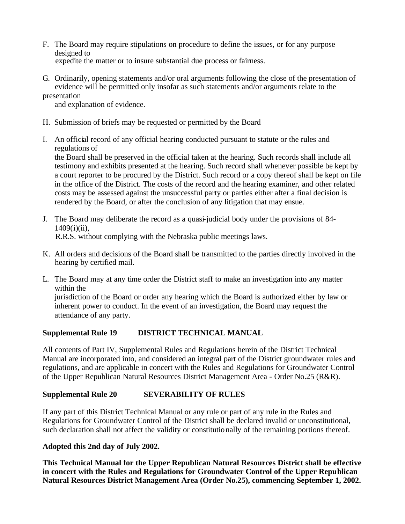- F. The Board may require stipulations on procedure to define the issues, or for any purpose designed to expedite the matter or to insure substantial due process or fairness.
- G. Ordinarily, opening statements and/or oral arguments following the close of the presentation of evidence will be permitted only insofar as such statements and/or arguments relate to the

## presentation

and explanation of evidence.

- H. Submission of briefs may be requested or permitted by the Board
- I. An official record of any official hearing conducted pursuant to statute or the rules and regulations of

the Board shall be preserved in the official taken at the hearing. Such records shall include all testimony and exhibits presented at the hearing. Such record shall whenever possible be kept by a court reporter to be procured by the District. Such record or a copy thereof shall be kept on file in the office of the District. The costs of the record and the hearing examiner, and other related costs may be assessed against the unsuccessful party or parties either after a final decision is rendered by the Board, or after the conclusion of any litigation that may ensue.

- J. The Board may deliberate the record as a quasi-judicial body under the provisions of 84- 1409(i)(ii), R.R.S. without complying with the Nebraska public meetings laws.
- K. All orders and decisions of the Board shall be transmitted to the parties directly involved in the hearing by certified mail.
- L. The Board may at any time order the District staff to make an investigation into any matter within the jurisdiction of the Board or order any hearing which the Board is authorized either by law or inherent power to conduct. In the event of an investigation, the Board may request the attendance of any party.

## **Supplemental Rule 19 DISTRICT TECHNICAL MANUAL**

All contents of Part IV, Supplemental Rules and Regulations herein of the District Technical Manual are incorporated into, and considered an integral part of the District groundwater rules and regulations, and are applicable in concert with the Rules and Regulations for Groundwater Control of the Upper Republican Natural Resources District Management Area - Order No.25 (R&R).

## **Supplemental Rule 20 SEVERABILITY OF RULES**

If any part of this District Technical Manual or any rule or part of any rule in the Rules and Regulations for Groundwater Control of the District shall be declared invalid or unconstitutional, such declaration shall not affect the validity or constitutionally of the remaining portions thereof.

## **Adopted this 2nd day of July 2002.**

**This Technical Manual for the Upper Republican Natural Resources District shall be effective in concert with the Rules and Regulations for Groundwater Control of the Upper Republican Natural Resources District Management Area (Order No.25), commencing September 1, 2002.**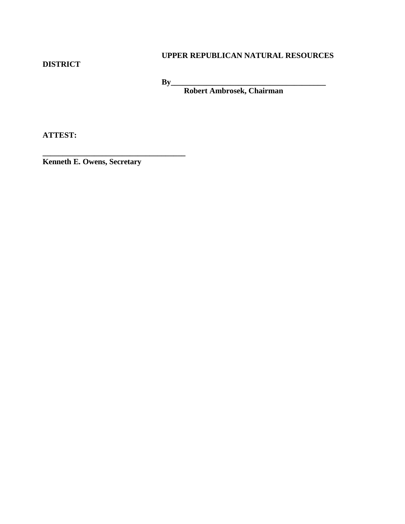## **DISTRICT**

## **UPPER REPUBLICAN NATURAL RESOURCES**

**By\_\_\_\_\_\_\_\_\_\_\_\_\_\_\_\_\_\_\_\_\_\_\_\_\_\_\_\_\_\_\_\_\_\_\_\_\_\_\_**

 **Robert Ambrosek, Chairman**

**ATTEST:**

**Kenneth E. Owens, Secretary**

**\_\_\_\_\_\_\_\_\_\_\_\_\_\_\_\_\_\_\_\_\_\_\_\_\_\_\_\_\_\_\_\_\_\_\_\_**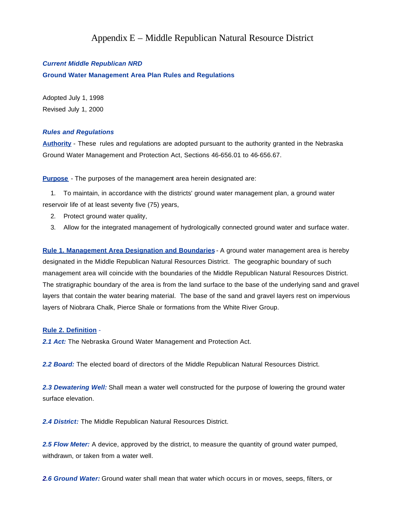## Appendix E – Middle Republican Natural Resource District

#### *Current Middle Republican NRD*

**Ground Water Management Area Plan Rules and Regulations**

Adopted July 1, 1998 Revised July 1, 2000

#### *Rules and Regulations*

**Authority** - These rules and regulations are adopted pursuant to the authority granted in the Nebraska Ground Water Management and Protection Act, Sections 46-656.01 to 46-656.67.

**Purpose** - The purposes of the management area herein designated are:

 1. To maintain, in accordance with the districts' ground water management plan, a ground water reservoir life of at least seventy five (75) years,

- 2. Protect ground water quality,
- 3. Allow for the integrated management of hydrologically connected ground water and surface water.

**Rule 1. Management Area Designation and Boundaries** - A ground water management area is hereby designated in the Middle Republican Natural Resources District. The geographic boundary of such management area will coincide with the boundaries of the Middle Republican Natural Resources District. The stratigraphic boundary of the area is from the land surface to the base of the underlying sand and gravel layers that contain the water bearing material. The base of the sand and gravel layers rest on impervious layers of Niobrara Chalk, Pierce Shale or formations from the White River Group.

#### **Rule 2. Definition** -

*2.1 Act:* The Nebraska Ground Water Management and Protection Act.

*2.2 Board:* The elected board of directors of the Middle Republican Natural Resources District.

*2.3 Dewatering Well:* Shall mean a water well constructed for the purpose of lowering the ground water surface elevation.

*2.4 District:* The Middle Republican Natural Resources District.

*2.5 Flow Meter:* A device, approved by the district, to measure the quantity of ground water pumped, withdrawn, or taken from a water well.

*2.6 Ground Water:* Ground water shall mean that water which occurs in or moves, seeps, filters, or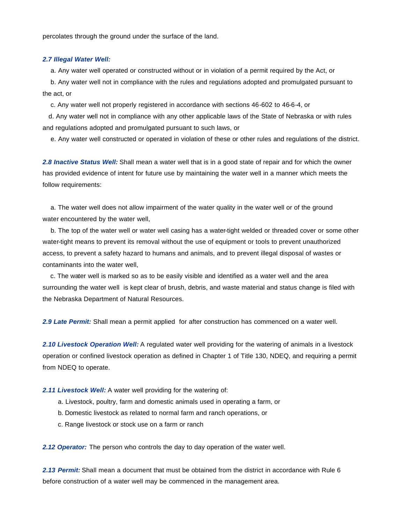percolates through the ground under the surface of the land.

#### *2.7 Illegal Water Well:*

a. Any water well operated or constructed without or in violation of a permit required by the Act, or

 b. Any water well not in compliance with the rules and regulations adopted and promulgated pursuant to the act, or

c. Any water well not properly registered in accordance with sections 46-602 to 46-6-4, or

 d. Any water well not in compliance with any other applicable laws of the State of Nebraska or with rules and regulations adopted and promulgated pursuant to such laws, or

e. Any water well constructed or operated in violation of these or other rules and regulations of the district.

*2.8 Inactive Status Well:* Shall mean a water well that is in a good state of repair and for which the owner has provided evidence of intent for future use by maintaining the water well in a manner which meets the follow requirements:

 a. The water well does not allow impairment of the water quality in the water well or of the ground water encountered by the water well,

 b. The top of the water well or water well casing has a water-tight welded or threaded cover or some other water-tight means to prevent its removal without the use of equipment or tools to prevent unauthorized access, to prevent a safety hazard to humans and animals, and to prevent illegal disposal of wastes or contaminants into the water well,

 c. The water well is marked so as to be easily visible and identified as a water well and the area surrounding the water well is kept clear of brush, debris, and waste material and status change is filed with the Nebraska Department of Natural Resources.

*2.9 Late Permit:* Shall mean a permit applied for after construction has commenced on a water well.

*2.10 Livestock Operation Well:* A regulated water well providing for the watering of animals in a livestock operation or confined livestock operation as defined in Chapter 1 of Title 130, NDEQ, and requiring a permit from NDEQ to operate.

*2.11 Livestock Well:* A water well providing for the watering of:

- a. Livestock, poultry, farm and domestic animals used in operating a farm, or
- b. Domestic livestock as related to normal farm and ranch operations, or
- c. Range livestock or stock use on a farm or ranch

*2.12 Operator:* The person who controls the day to day operation of the water well.

*2.13 Permit:* Shall mean a document that must be obtained from the district in accordance with Rule 6 before construction of a water well may be commenced in the management area.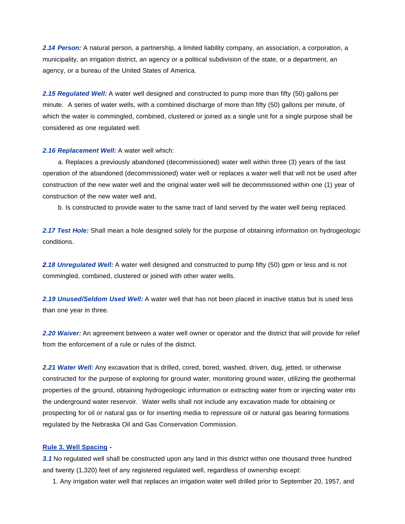*2.14 Person:* A natural person, a partnership, a limited liability company, an association, a corporation, a municipality, an irrigation district, an agency or a political subdivision of the state, or a department, an agency, or a bureau of the United States of America.

*2.15 Regulated Well:* A water well designed and constructed to pump more than fifty (50) gallons per minute. A series of water wells, with a combined discharge of more than fifty (50) gallons per minute, of which the water is commingled, combined, clustered or joined as a single unit for a single purpose shall be considered as one regulated well.

#### *2.16 Replacement Well:* A water well which:

 a. Replaces a previously abandoned (decommissioned) water well within three (3) years of the last operation of the abandoned (decommissioned) water well or replaces a water well that will not be used after construction of the new water well and the original water well will be decommissioned within one (1) year of construction of the new water well and,

b. Is constructed to provide water to the same tract of land served by the water well being replaced.

*2.17 Test Hole:* Shall mean a hole designed solely for the purpose of obtaining information on hydrogeologic conditions.

*2.18 Unregulated Well:* A water well designed and constructed to pump fifty (50) gpm or less and is not commingled, combined, clustered or joined with other water wells.

*2.19 Unused/Seldom Used Well:* A water well that has not been placed in inactive status but is used less than one year in three.

*2.20 Waiver:* An agreement between a water well owner or operator and the district that will provide for relief from the enforcement of a rule or rules of the district.

*2.21 Water Well:* Any excavation that is drilled, cored, bored, washed, driven, dug, jetted, or otherwise constructed for the purpose of exploring for ground water, monitoring ground water, utilizing the geothermal properties of the ground, obtaining hydrogeologic information or extracting water from or injecting water into the underground water reservoir. Water wells shall not include any excavation made for obtaining or prospecting for oil or natural gas or for inserting media to repressure oil or natural gas bearing formations regulated by the Nebraska Oil and Gas Conservation Commission.

#### **Rule 3. Well Spacing -**

*3.1* No regulated well shall be constructed upon any land in this district within one thousand three hundred and twenty (1,320) feet of any registered regulated well, regardless of ownership except:

1. Any irrigation water well that replaces an irrigation water well drilled prior to September 20, 1957, and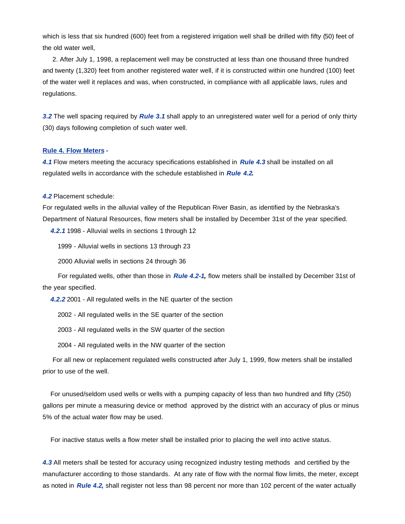which is less that six hundred (600) feet from a registered irrigation well shall be drilled with fifty (50) feet of the old water well,

 2. After July 1, 1998, a replacement well may be constructed at less than one thousand three hundred and twenty (1,320) feet from another registered water well, if it is constructed within one hundred (100) feet of the water well it replaces and was, when constructed, in compliance with all applicable laws, rules and regulations.

*3.2* The well spacing required by *Rule 3.1* shall apply to an unregistered water well for a period of only thirty (30) days following completion of such water well.

#### **Rule 4. Flow Meters -**

*4.1* Flow meters meeting the accuracy specifications established in *Rule 4.3* shall be installed on all regulated wells in accordance with the schedule established in *Rule 4.2.*

*4.2* Placement schedule:

For regulated wells in the alluvial valley of the Republican River Basin, as identified by the Nebraska's Department of Natural Resources, flow meters shall be installed by December 31st of the year specified.

 *4.2.1* 1998 - Alluvial wells in sections 1 through 12

1999 - Alluvial wells in sections 13 through 23

2000 Alluvial wells in sections 24 through 36

 For regulated wells, other than those in *Rule 4.2-1,* flow meters shall be installed by December 31st of the year specified.

*4.2.2* 2001 - All regulated wells in the NE quarter of the section

2002 - All regulated wells in the SE quarter of the section

2003 - All regulated wells in the SW quarter of the section

2004 - All regulated wells in the NW quarter of the section

 For all new or replacement regulated wells constructed after July 1, 1999, flow meters shall be installed prior to use of the well.

 For unused/seldom used wells or wells with a pumping capacity of less than two hundred and fifty (250) gallons per minute a measuring device or method approved by the district with an accuracy of plus or minus 5% of the actual water flow may be used.

For inactive status wells a flow meter shall be installed prior to placing the well into active status.

*4.3* All meters shall be tested for accuracy using recognized industry testing methods and certified by the manufacturer according to those standards. At any rate of flow with the normal flow limits, the meter, except as noted in *Rule 4.2***,** shall register not less than 98 percent nor more than 102 percent of the water actually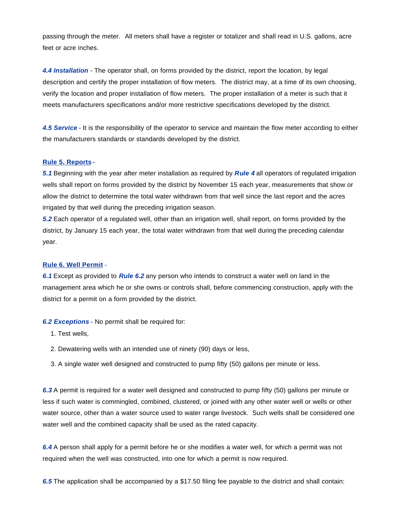passing through the meter. All meters shall have a register or totalizer and shall read in U.S. gallons, acre feet or acre inches.

*4.4 Installation* - The operator shall, on forms provided by the district, report the location, by legal description and certify the proper installation of flow meters. The district may, at a time of its own choosing, verify the location and proper installation of flow meters. The proper installation of a meter is such that it meets manufacturers specifications and/or more restrictive specifications developed by the district.

*4.5 Service* - It is the responsibility of the operator to service and maintain the flow meter according to either the manufacturers standards or standards developed by the district.

#### **Rule 5. Reports -**

*5.1* Beginning with the year after meter installation as required by *Rule 4* all operators of regulated irrigation wells shall report on forms provided by the district by November 15 each year, measurements that show or allow the district to determine the total water withdrawn from that well since the last report and the acres irrigated by that well during the preceding irrigation season.

*5.2* Each operator of a regulated well, other than an irrigation well, shall report, on forms provided by the district, by January 15 each year, the total water withdrawn from that well during the preceding calendar year.

#### **Rule 6. Well Permit** -

*6.1* Except as provided to *Rule 6.2* any person who intends to construct a water well on land in the management area which he or she owns or controls shall, before commencing construction, apply with the district for a permit on a form provided by the district.

#### *6.2 Exceptions* - No permit shall be required for:

- 1. Test wells,
- 2. Dewatering wells with an intended use of ninety (90) days or less,
- 3. A single water well designed and constructed to pump fifty (50) gallons per minute or less.

*6.3* A permit is required for a water well designed and constructed to pump fifty (50) gallons per minute or less if such water is commingled, combined, clustered, or joined with any other water well or wells or other water source, other than a water source used to water range livestock. Such wells shall be considered one water well and the combined capacity shall be used as the rated capacity.

*6.4* A person shall apply for a permit before he or she modifies a water well, for which a permit was not required when the well was constructed, into one for which a permit is now required.

*6.5* The application shall be accompanied by a \$17.50 filing fee payable to the district and shall contain: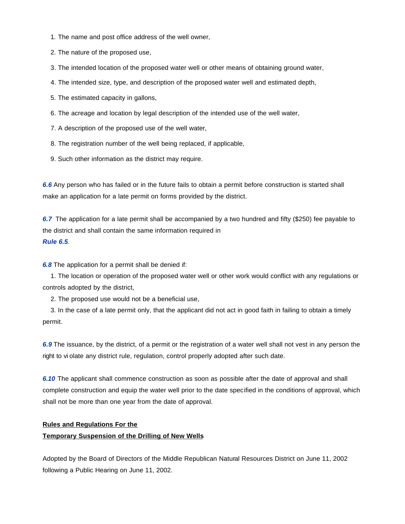- 1. The name and post office address of the well owner,
- 2. The nature of the proposed use,
- 3. The intended location of the proposed water well or other means of obtaining ground water,
- 4. The intended size, type, and description of the proposed water well and estimated depth,
- 5. The estimated capacity in gallons,
- 6. The acreage and location by legal description of the intended use of the well water,
- 7. A description of the proposed use of the well water,
- 8. The registration number of the well being replaced, if applicable,
- 9. Such other information as the district may require.

*6.6* Any person who has failed or in the future fails to obtain a permit before construction is started shall make an application for a late permit on forms provided by the district.

*6.7* The application for a late permit shall be accompanied by a two hundred and fifty (\$250) fee payable to the district and shall contain the same information required in *Rule 6.5*.

*6.8* The application for a permit shall be denied if:

 1. The location or operation of the proposed water well or other work would conflict with any regulations or controls adopted by the district,

2. The proposed use would not be a beneficial use,

 3. In the case of a late permit only, that the applicant did not act in good faith in failing to obtain a timely permit.

*6.9* The issuance, by the district, of a permit or the registration of a water well shall not vest in any person the right to vi olate any district rule, regulation, control properly adopted after such date.

*6.10* The applicant shall commence construction as soon as possible after the date of approval and shall complete construction and equip the water well prior to the date specified in the conditions of approval, which shall not be more than one year from the date of approval.

#### **Rules and Regulations For the**

#### **Temporary Suspension of the Drilling of New Wells**

Adopted by the Board of Directors of the Middle Republican Natural Resources District on June 11, 2002 following a Public Hearing on June 11, 2002.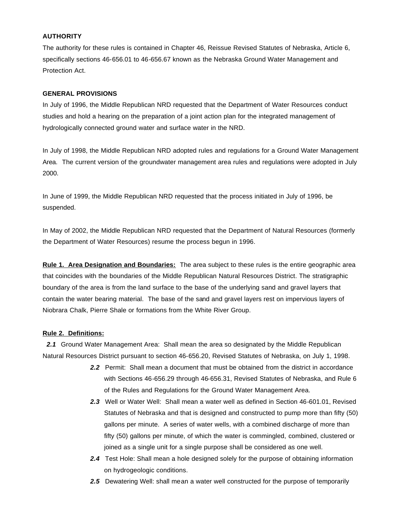#### **AUTHORITY**

The authority for these rules is contained in Chapter 46, Reissue Revised Statutes of Nebraska, Article 6, specifically sections 46-656.01 to 46-656.67 known as the Nebraska Ground Water Management and Protection Act.

#### **GENERAL PROVISIONS**

In July of 1996, the Middle Republican NRD requested that the Department of Water Resources conduct studies and hold a hearing on the preparation of a joint action plan for the integrated management of hydrologically connected ground water and surface water in the NRD.

In July of 1998, the Middle Republican NRD adopted rules and regulations for a Ground Water Management Area. The current version of the groundwater management area rules and regulations were adopted in July 2000.

In June of 1999, the Middle Republican NRD requested that the process initiated in July of 1996, be suspended.

In May of 2002, the Middle Republican NRD requested that the Department of Natural Resources (formerly the Department of Water Resources) resume the process begun in 1996.

**Rule 1. Area Designation and Boundaries:** The area subject to these rules is the entire geographic area that coincides with the boundaries of the Middle Republican Natural Resources District. The stratigraphic boundary of the area is from the land surface to the base of the underlying sand and gravel layers that contain the water bearing material. The base of the sand and gravel layers rest on impervious layers of Niobrara Chalk, Pierre Shale or formations from the White River Group.

#### **Rule 2. Definitions:**

*2.1* Ground Water Management Area: Shall mean the area so designated by the Middle Republican Natural Resources District pursuant to section 46-656.20, Revised Statutes of Nebraska, on July 1, 1998.

- *2.2* Permit: Shall mean a document that must be obtained from the district in accordance with Sections 46-656.29 through 46-656.31, Revised Statutes of Nebraska, and Rule 6 of the Rules and Regulations for the Ground Water Management Area.
- *2.3* Well or Water Well: Shall mean a water well as defined in Section 46-601.01, Revised Statutes of Nebraska and that is designed and constructed to pump more than fifty (50) gallons per minute. A series of water wells, with a combined discharge of more than fifty (50) gallons per minute, of which the water is commingled, combined, clustered or joined as a single unit for a single purpose shall be considered as one well.
- *2.4* Test Hole: Shall mean a hole designed solely for the purpose of obtaining information on hydrogeologic conditions.
- 2.5 Dewatering Well: shall mean a water well constructed for the purpose of temporarily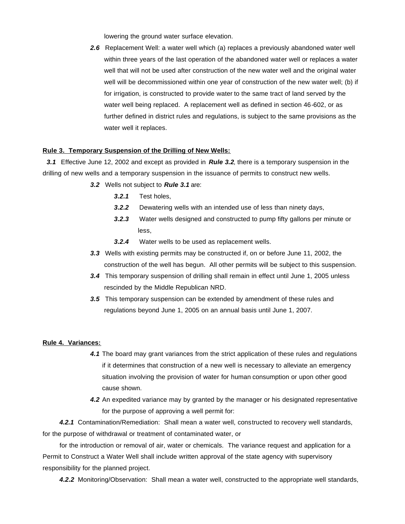lowering the ground water surface elevation.

2.6 Replacement Well: a water well which (a) replaces a previously abandoned water well within three years of the last operation of the abandoned water well or replaces a water well that will not be used after construction of the new water well and the original water well will be decommissioned within one year of construction of the new water well; (b) if for irrigation, is constructed to provide water to the same tract of land served by the water well being replaced. A replacement well as defined in section 46-602, or as further defined in district rules and regulations, is subject to the same provisions as the water well it replaces.

#### **Rule 3. Temporary Suspension of the Drilling of New Wells:**

*3.1* Effective June 12, 2002 and except as provided in *Rule 3.2*, there is a temporary suspension in the drilling of new wells and a temporary suspension in the issuance of permits to construct new wells.

- *3.2* Wells not subject to *Rule 3.1* are:
	- *3.2.1* Test holes,
	- *3.2.2* Dewatering wells with an intended use of less than ninety days,
	- *3.2.3* Water wells designed and constructed to pump fifty gallons per minute or less,
	- *3.2.4* Water wells to be used as replacement wells.
- *3.3* Wells with existing permits may be constructed if, on or before June 11, 2002, the construction of the well has begun. All other permits will be subject to this suspension.
- *3.4* This temporary suspension of drilling shall remain in effect until June 1, 2005 unless rescinded by the Middle Republican NRD.
- *3.5* This temporary suspension can be extended by amendment of these rules and regulations beyond June 1, 2005 on an annual basis until June 1, 2007.

#### **Rule 4. Variances:**

- *4.1* The board may grant variances from the strict application of these rules and regulations if it determines that construction of a new well is necessary to alleviate an emergency situation involving the provision of water for human consumption or upon other good cause shown.
- *4.2* An expedited variance may by granted by the manager or his designated representative for the purpose of approving a well permit for:

 *4.2.1* Contamination/Remediation: Shall mean a water well, constructed to recovery well standards, for the purpose of withdrawal or treatment of contaminated water, or

 for the introduction or removal of air, water or chemicals. The variance request and application for a Permit to Construct a Water Well shall include written approval of the state agency with supervisory responsibility for the planned project.

*4.2.2* Monitoring/Observation: Shall mean a water well, constructed to the appropriate well standards,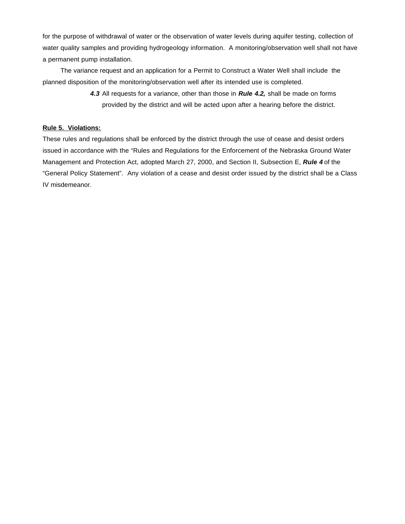for the purpose of withdrawal of water or the observation of water levels during aquifer testing, collection of water quality samples and providing hydrogeology information. A monitoring/observation well shall not have a permanent pump installation.

 The variance request and an application for a Permit to Construct a Water Well shall include the planned disposition of the monitoring/observation well after its intended use is completed.

> *4.3* All requests for a variance, other than those in *Rule 4.2,* shall be made on forms provided by the district and will be acted upon after a hearing before the district.

#### **Rule 5. Violations:**

These rules and regulations shall be enforced by the district through the use of cease and desist orders issued in accordance with the "Rules and Regulations for the Enforcement of the Nebraska Ground Water Management and Protection Act, adopted March 27, 2000, and Section II, Subsection E, *Rule 4* of the "General Policy Statement". Any violation of a cease and desist order issued by the district shall be a Class IV misdemeanor.